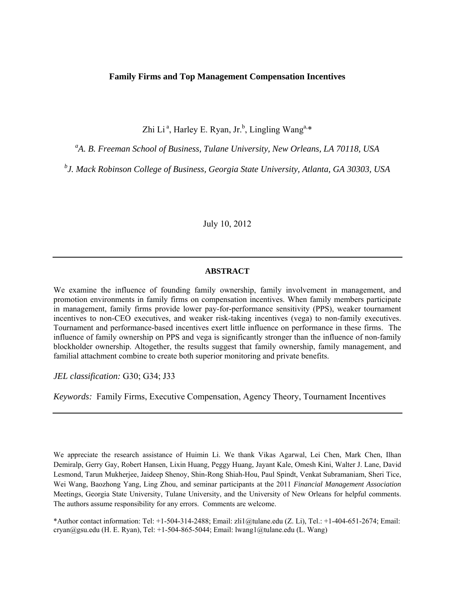# **Family Firms and Top Management Compensation Incentives**

Zhi Li<sup>a</sup>, Harley E. Ryan, Jr.<sup>b</sup>, Lingling Wang<sup>a,\*</sup>

<sup>a</sup>A. B. Freeman School of Business, Tulane University, New Orleans, LA 70118, USA

*b J. Mack Robinson College of Business, Georgia State University, Atlanta, GA 30303, USA* 

July 10, 2012

### **ABSTRACT**

We examine the influence of founding family ownership, family involvement in management, and promotion environments in family firms on compensation incentives. When family members participate in management, family firms provide lower pay-for-performance sensitivity (PPS), weaker tournament incentives to non-CEO executives, and weaker risk-taking incentives (vega) to non-family executives. Tournament and performance-based incentives exert little influence on performance in these firms. The influence of family ownership on PPS and vega is significantly stronger than the influence of non-family blockholder ownership. Altogether, the results suggest that family ownership, family management, and familial attachment combine to create both superior monitoring and private benefits.

*JEL classification:* G30; G34; J33

*Keywords:* Family Firms, Executive Compensation, Agency Theory, Tournament Incentives

We appreciate the research assistance of Huimin Li. We thank Vikas Agarwal, Lei Chen, Mark Chen, Ilhan Demiralp, Gerry Gay, Robert Hansen, Lixin Huang, Peggy Huang, Jayant Kale, Omesh Kini, Walter J. Lane, David Lesmond, Tarun Mukherjee, Jaideep Shenoy, Shin-Rong Shiah-Hou, Paul Spindt, Venkat Subramaniam, Sheri Tice, Wei Wang, Baozhong Yang, Ling Zhou, and seminar participants at the 2011 *Financial Management Association* Meetings, Georgia State University, Tulane University, and the University of New Orleans for helpful comments. The authors assume responsibility for any errors. Comments are welcome.

\*Author contact information: Tel: +1-504-314-2488; Email: zli1@tulane.edu (Z. Li), Tel.: +1-404-651-2674; Email: cryan@gsu.edu (H. E. Ryan), Tel: +1-504-865-5044; Email: lwang1@tulane.edu (L. Wang)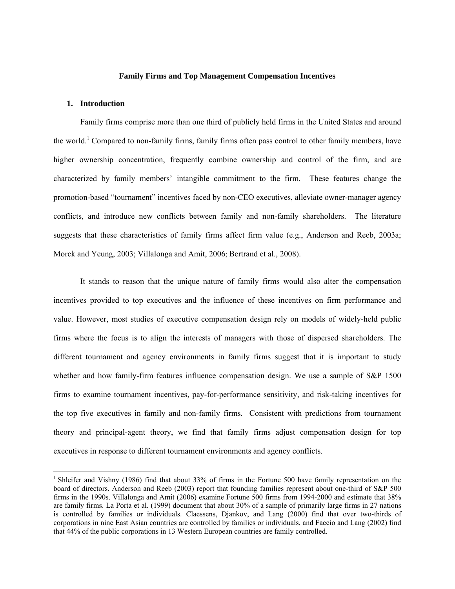### **Family Firms and Top Management Compensation Incentives**

# **1. Introduction**

l

Family firms comprise more than one third of publicly held firms in the United States and around the world.<sup>1</sup> Compared to non-family firms, family firms often pass control to other family members, have higher ownership concentration, frequently combine ownership and control of the firm, and are characterized by family members' intangible commitment to the firm. These features change the promotion-based "tournament" incentives faced by non-CEO executives, alleviate owner-manager agency conflicts, and introduce new conflicts between family and non-family shareholders. The literature suggests that these characteristics of family firms affect firm value (e.g., Anderson and Reeb, 2003a; Morck and Yeung, 2003; Villalonga and Amit, 2006; Bertrand et al., 2008).

It stands to reason that the unique nature of family firms would also alter the compensation incentives provided to top executives and the influence of these incentives on firm performance and value. However, most studies of executive compensation design rely on models of widely-held public firms where the focus is to align the interests of managers with those of dispersed shareholders. The different tournament and agency environments in family firms suggest that it is important to study whether and how family-firm features influence compensation design. We use a sample of S&P 1500 firms to examine tournament incentives, pay-for-performance sensitivity, and risk-taking incentives for the top five executives in family and non-family firms. Consistent with predictions from tournament theory and principal-agent theory, we find that family firms adjust compensation design for top executives in response to different tournament environments and agency conflicts.

<sup>&</sup>lt;sup>1</sup> Shleifer and Vishny (1986) find that about 33% of firms in the Fortune 500 have family representation on the board of directors. Anderson and Reeb (2003) report that founding families represent about one-third of S&P 500 firms in the 1990s. Villalonga and Amit (2006) examine Fortune 500 firms from 1994-2000 and estimate that 38% are family firms. La Porta et al. (1999) document that about 30% of a sample of primarily large firms in 27 nations is controlled by families or individuals. Claessens, Djankov, and Lang (2000) find that over two-thirds of corporations in nine East Asian countries are controlled by families or individuals, and Faccio and Lang (2002) find that 44% of the public corporations in 13 Western European countries are family controlled.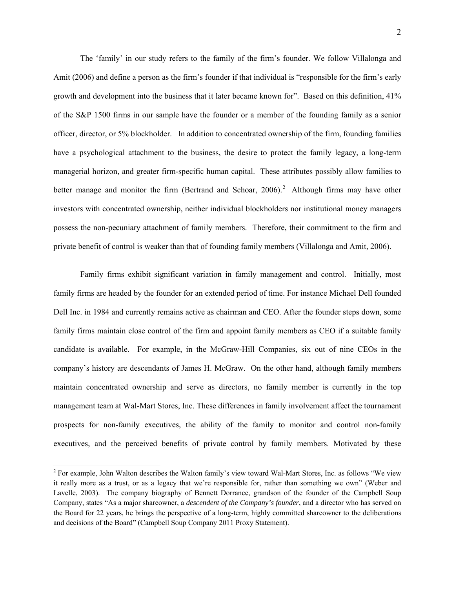The 'family' in our study refers to the family of the firm's founder. We follow Villalonga and Amit (2006) and define a person as the firm's founder if that individual is "responsible for the firm's early growth and development into the business that it later became known for". Based on this definition, 41% of the S&P 1500 firms in our sample have the founder or a member of the founding family as a senior officer, director, or 5% blockholder. In addition to concentrated ownership of the firm, founding families have a psychological attachment to the business, the desire to protect the family legacy, a long-term managerial horizon, and greater firm-specific human capital. These attributes possibly allow families to better manage and monitor the firm (Bertrand and Schoar,  $2006$ ).<sup>2</sup> Although firms may have other investors with concentrated ownership, neither individual blockholders nor institutional money managers possess the non-pecuniary attachment of family members. Therefore, their commitment to the firm and private benefit of control is weaker than that of founding family members (Villalonga and Amit, 2006).

Family firms exhibit significant variation in family management and control. Initially, most family firms are headed by the founder for an extended period of time. For instance Michael Dell founded Dell Inc. in 1984 and currently remains active as chairman and CEO. After the founder steps down, some family firms maintain close control of the firm and appoint family members as CEO if a suitable family candidate is available. For example, in the McGraw-Hill Companies, six out of nine CEOs in the company's history are descendants of James H. McGraw. On the other hand, although family members maintain concentrated ownership and serve as directors, no family member is currently in the top management team at Wal-Mart Stores, Inc. These differences in family involvement affect the tournament prospects for non-family executives, the ability of the family to monitor and control non-family executives, and the perceived benefits of private control by family members. Motivated by these

l

 $2^2$  For example, John Walton describes the Walton family's view toward Wal-Mart Stores, Inc. as follows "We view it really more as a trust, or as a legacy that we're responsible for, rather than something we own" (Weber and Lavelle, 2003). The company biography of Bennett Dorrance, grandson of the founder of the Campbell Soup Company, states "As a major shareowner, a *descendent of the Company's founder*, and a director who has served on the Board for 22 years, he brings the perspective of a long-term, highly committed shareowner to the deliberations and decisions of the Board" (Campbell Soup Company 2011 Proxy Statement).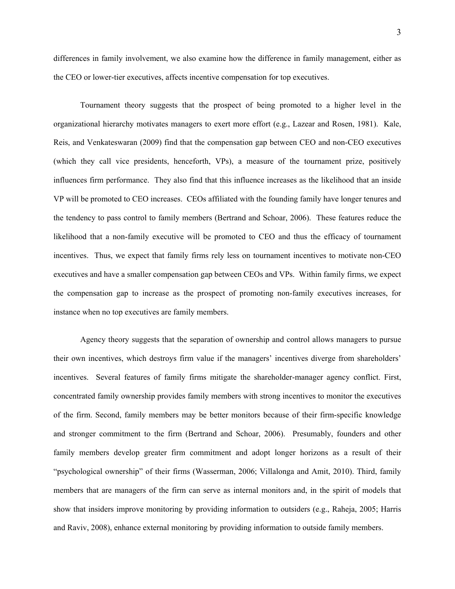differences in family involvement, we also examine how the difference in family management, either as the CEO or lower-tier executives, affects incentive compensation for top executives.

Tournament theory suggests that the prospect of being promoted to a higher level in the organizational hierarchy motivates managers to exert more effort (e.g., Lazear and Rosen, 1981). Kale, Reis, and Venkateswaran (2009) find that the compensation gap between CEO and non-CEO executives (which they call vice presidents, henceforth, VPs), a measure of the tournament prize, positively influences firm performance. They also find that this influence increases as the likelihood that an inside VP will be promoted to CEO increases. CEOs affiliated with the founding family have longer tenures and the tendency to pass control to family members (Bertrand and Schoar, 2006). These features reduce the likelihood that a non-family executive will be promoted to CEO and thus the efficacy of tournament incentives. Thus, we expect that family firms rely less on tournament incentives to motivate non-CEO executives and have a smaller compensation gap between CEOs and VPs. Within family firms, we expect the compensation gap to increase as the prospect of promoting non-family executives increases, for instance when no top executives are family members.

Agency theory suggests that the separation of ownership and control allows managers to pursue their own incentives, which destroys firm value if the managers' incentives diverge from shareholders' incentives. Several features of family firms mitigate the shareholder-manager agency conflict. First, concentrated family ownership provides family members with strong incentives to monitor the executives of the firm. Second, family members may be better monitors because of their firm-specific knowledge and stronger commitment to the firm (Bertrand and Schoar, 2006). Presumably, founders and other family members develop greater firm commitment and adopt longer horizons as a result of their "psychological ownership" of their firms (Wasserman, 2006; Villalonga and Amit, 2010). Third, family members that are managers of the firm can serve as internal monitors and, in the spirit of models that show that insiders improve monitoring by providing information to outsiders (e.g., Raheja, 2005; Harris and Raviv, 2008), enhance external monitoring by providing information to outside family members.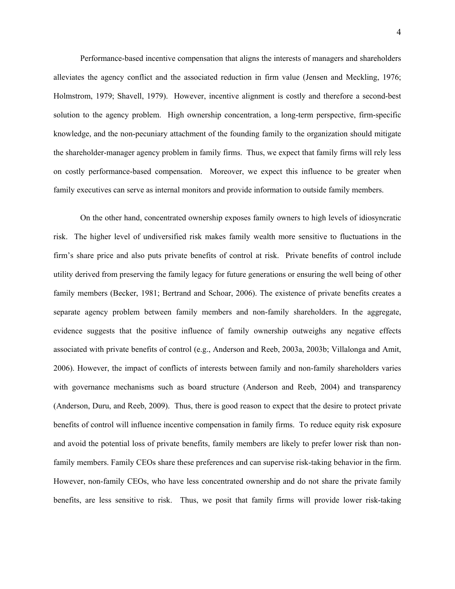Performance-based incentive compensation that aligns the interests of managers and shareholders alleviates the agency conflict and the associated reduction in firm value (Jensen and Meckling, 1976; Holmstrom, 1979; Shavell, 1979). However, incentive alignment is costly and therefore a second-best solution to the agency problem. High ownership concentration, a long-term perspective, firm-specific knowledge, and the non-pecuniary attachment of the founding family to the organization should mitigate the shareholder-manager agency problem in family firms. Thus, we expect that family firms will rely less on costly performance-based compensation. Moreover, we expect this influence to be greater when family executives can serve as internal monitors and provide information to outside family members.

On the other hand, concentrated ownership exposes family owners to high levels of idiosyncratic risk. The higher level of undiversified risk makes family wealth more sensitive to fluctuations in the firm's share price and also puts private benefits of control at risk. Private benefits of control include utility derived from preserving the family legacy for future generations or ensuring the well being of other family members (Becker, 1981; Bertrand and Schoar, 2006). The existence of private benefits creates a separate agency problem between family members and non-family shareholders. In the aggregate, evidence suggests that the positive influence of family ownership outweighs any negative effects associated with private benefits of control (e.g., Anderson and Reeb, 2003a, 2003b; Villalonga and Amit, 2006). However, the impact of conflicts of interests between family and non-family shareholders varies with governance mechanisms such as board structure (Anderson and Reeb, 2004) and transparency (Anderson, Duru, and Reeb, 2009). Thus, there is good reason to expect that the desire to protect private benefits of control will influence incentive compensation in family firms. To reduce equity risk exposure and avoid the potential loss of private benefits, family members are likely to prefer lower risk than nonfamily members. Family CEOs share these preferences and can supervise risk-taking behavior in the firm. However, non-family CEOs, who have less concentrated ownership and do not share the private family benefits, are less sensitive to risk. Thus, we posit that family firms will provide lower risk-taking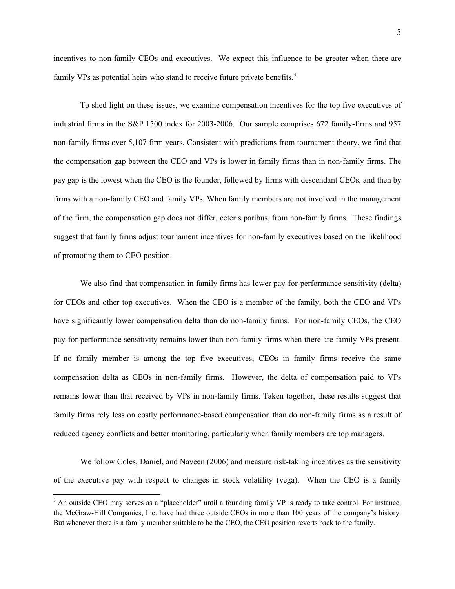incentives to non-family CEOs and executives. We expect this influence to be greater when there are family VPs as potential heirs who stand to receive future private benefits. $3$ 

To shed light on these issues, we examine compensation incentives for the top five executives of industrial firms in the S&P 1500 index for 2003-2006. Our sample comprises 672 family-firms and 957 non-family firms over 5,107 firm years. Consistent with predictions from tournament theory, we find that the compensation gap between the CEO and VPs is lower in family firms than in non-family firms. The pay gap is the lowest when the CEO is the founder, followed by firms with descendant CEOs, and then by firms with a non-family CEO and family VPs. When family members are not involved in the management of the firm, the compensation gap does not differ, ceteris paribus, from non-family firms. These findings suggest that family firms adjust tournament incentives for non-family executives based on the likelihood of promoting them to CEO position.

We also find that compensation in family firms has lower pay-for-performance sensitivity (delta) for CEOs and other top executives. When the CEO is a member of the family, both the CEO and VPs have significantly lower compensation delta than do non-family firms. For non-family CEOs, the CEO pay-for-performance sensitivity remains lower than non-family firms when there are family VPs present. If no family member is among the top five executives, CEOs in family firms receive the same compensation delta as CEOs in non-family firms. However, the delta of compensation paid to VPs remains lower than that received by VPs in non-family firms. Taken together, these results suggest that family firms rely less on costly performance-based compensation than do non-family firms as a result of reduced agency conflicts and better monitoring, particularly when family members are top managers.

We follow Coles, Daniel, and Naveen (2006) and measure risk-taking incentives as the sensitivity of the executive pay with respect to changes in stock volatility (vega). When the CEO is a family

<sup>&</sup>lt;sup>3</sup> An outside CEO may serves as a "placeholder" until a founding family VP is ready to take control. For instance, the McGraw-Hill Companies, Inc. have had three outside CEOs in more than 100 years of the company's history. But whenever there is a family member suitable to be the CEO, the CEO position reverts back to the family.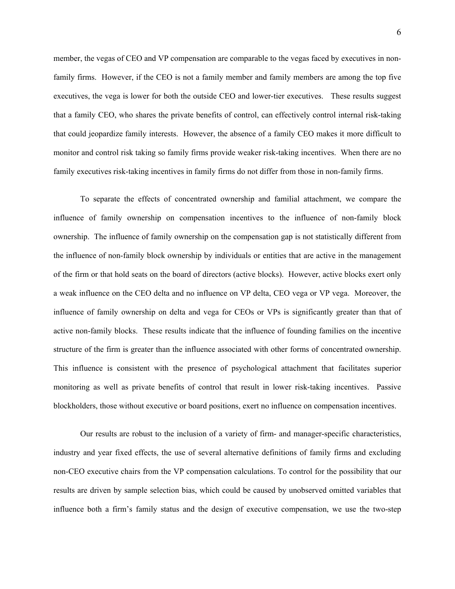member, the vegas of CEO and VP compensation are comparable to the vegas faced by executives in nonfamily firms. However, if the CEO is not a family member and family members are among the top five executives, the vega is lower for both the outside CEO and lower-tier executives. These results suggest that a family CEO, who shares the private benefits of control, can effectively control internal risk-taking that could jeopardize family interests. However, the absence of a family CEO makes it more difficult to monitor and control risk taking so family firms provide weaker risk-taking incentives. When there are no family executives risk-taking incentives in family firms do not differ from those in non-family firms.

To separate the effects of concentrated ownership and familial attachment, we compare the influence of family ownership on compensation incentives to the influence of non-family block ownership. The influence of family ownership on the compensation gap is not statistically different from the influence of non-family block ownership by individuals or entities that are active in the management of the firm or that hold seats on the board of directors (active blocks). However, active blocks exert only a weak influence on the CEO delta and no influence on VP delta, CEO vega or VP vega. Moreover, the influence of family ownership on delta and vega for CEOs or VPs is significantly greater than that of active non-family blocks. These results indicate that the influence of founding families on the incentive structure of the firm is greater than the influence associated with other forms of concentrated ownership. This influence is consistent with the presence of psychological attachment that facilitates superior monitoring as well as private benefits of control that result in lower risk-taking incentives. Passive blockholders, those without executive or board positions, exert no influence on compensation incentives.

Our results are robust to the inclusion of a variety of firm- and manager-specific characteristics, industry and year fixed effects, the use of several alternative definitions of family firms and excluding non-CEO executive chairs from the VP compensation calculations. To control for the possibility that our results are driven by sample selection bias, which could be caused by unobserved omitted variables that influence both a firm's family status and the design of executive compensation, we use the two-step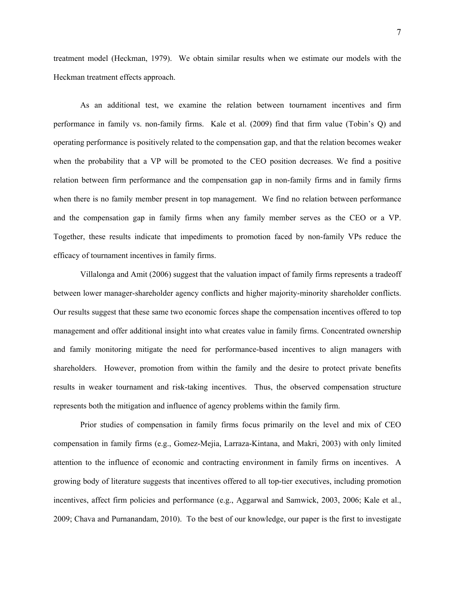treatment model (Heckman, 1979). We obtain similar results when we estimate our models with the Heckman treatment effects approach.

As an additional test, we examine the relation between tournament incentives and firm performance in family vs. non-family firms. Kale et al. (2009) find that firm value (Tobin's Q) and operating performance is positively related to the compensation gap, and that the relation becomes weaker when the probability that a VP will be promoted to the CEO position decreases. We find a positive relation between firm performance and the compensation gap in non-family firms and in family firms when there is no family member present in top management. We find no relation between performance and the compensation gap in family firms when any family member serves as the CEO or a VP. Together, these results indicate that impediments to promotion faced by non-family VPs reduce the efficacy of tournament incentives in family firms.

Villalonga and Amit (2006) suggest that the valuation impact of family firms represents a tradeoff between lower manager-shareholder agency conflicts and higher majority-minority shareholder conflicts. Our results suggest that these same two economic forces shape the compensation incentives offered to top management and offer additional insight into what creates value in family firms. Concentrated ownership and family monitoring mitigate the need for performance-based incentives to align managers with shareholders. However, promotion from within the family and the desire to protect private benefits results in weaker tournament and risk-taking incentives. Thus, the observed compensation structure represents both the mitigation and influence of agency problems within the family firm.

Prior studies of compensation in family firms focus primarily on the level and mix of CEO compensation in family firms (e.g., Gomez-Mejia, Larraza-Kintana, and Makri, 2003) with only limited attention to the influence of economic and contracting environment in family firms on incentives. A growing body of literature suggests that incentives offered to all top-tier executives, including promotion incentives, affect firm policies and performance (e.g., Aggarwal and Samwick, 2003, 2006; Kale et al., 2009; Chava and Purnanandam, 2010). To the best of our knowledge, our paper is the first to investigate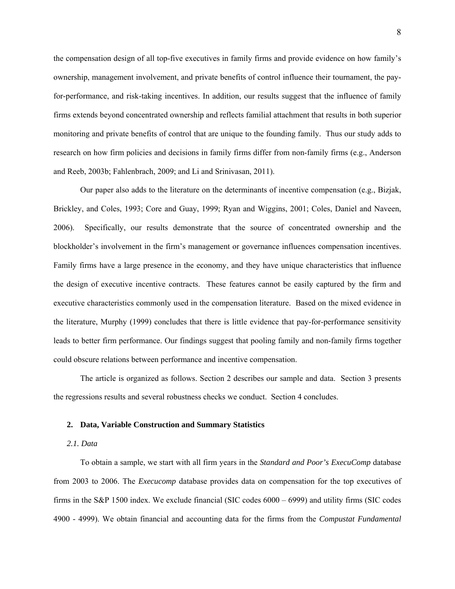the compensation design of all top-five executives in family firms and provide evidence on how family's ownership, management involvement, and private benefits of control influence their tournament, the payfor-performance, and risk-taking incentives. In addition, our results suggest that the influence of family firms extends beyond concentrated ownership and reflects familial attachment that results in both superior monitoring and private benefits of control that are unique to the founding family. Thus our study adds to research on how firm policies and decisions in family firms differ from non-family firms (e.g., Anderson and Reeb, 2003b; Fahlenbrach, 2009; and Li and Srinivasan, 2011).

Our paper also adds to the literature on the determinants of incentive compensation (e.g., Bizjak, Brickley, and Coles, 1993; Core and Guay, 1999; Ryan and Wiggins, 2001; Coles, Daniel and Naveen, 2006). Specifically, our results demonstrate that the source of concentrated ownership and the blockholder's involvement in the firm's management or governance influences compensation incentives. Family firms have a large presence in the economy, and they have unique characteristics that influence the design of executive incentive contracts. These features cannot be easily captured by the firm and executive characteristics commonly used in the compensation literature. Based on the mixed evidence in the literature, Murphy (1999) concludes that there is little evidence that pay-for-performance sensitivity leads to better firm performance. Our findings suggest that pooling family and non-family firms together could obscure relations between performance and incentive compensation.

The article is organized as follows. Section 2 describes our sample and data. Section 3 presents the regressions results and several robustness checks we conduct. Section 4 concludes.

### **2. Data, Variable Construction and Summary Statistics**

# *2.1. Data*

To obtain a sample, we start with all firm years in the *Standard and Poor's ExecuComp* database from 2003 to 2006. The *Execucomp* database provides data on compensation for the top executives of firms in the S&P 1500 index. We exclude financial (SIC codes 6000 – 6999) and utility firms (SIC codes 4900 - 4999). We obtain financial and accounting data for the firms from the *Compustat Fundamental*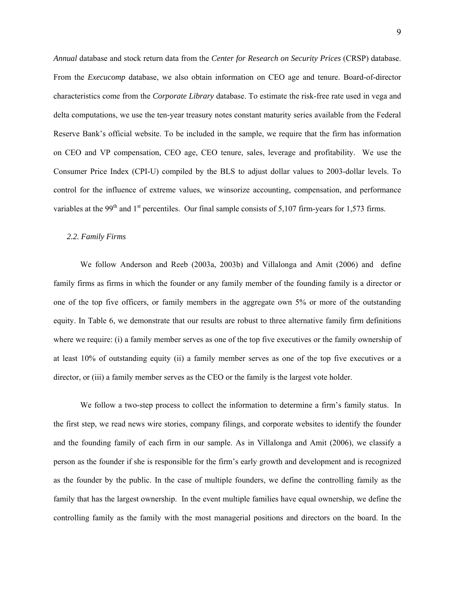*Annual* database and stock return data from the *Center for Research on Security Prices* (CRSP) database. From the *Execucomp* database, we also obtain information on CEO age and tenure. Board-of-director characteristics come from the *Corporate Library* database. To estimate the risk-free rate used in vega and delta computations, we use the ten-year treasury notes constant maturity series available from the Federal Reserve Bank's official website. To be included in the sample, we require that the firm has information on CEO and VP compensation, CEO age, CEO tenure, sales, leverage and profitability. We use the Consumer Price Index (CPI-U) compiled by the BLS to adjust dollar values to 2003-dollar levels. To control for the influence of extreme values, we winsorize accounting, compensation, and performance variables at the 99<sup>th</sup> and 1<sup>st</sup> percentiles. Our final sample consists of 5,107 firm-years for 1,573 firms.

### *2.2. Family Firms*

We follow Anderson and Reeb (2003a, 2003b) and Villalonga and Amit (2006) and define family firms as firms in which the founder or any family member of the founding family is a director or one of the top five officers, or family members in the aggregate own 5% or more of the outstanding equity. In Table 6, we demonstrate that our results are robust to three alternative family firm definitions where we require: (i) a family member serves as one of the top five executives or the family ownership of at least 10% of outstanding equity (ii) a family member serves as one of the top five executives or a director, or (iii) a family member serves as the CEO or the family is the largest vote holder.

We follow a two-step process to collect the information to determine a firm's family status. In the first step, we read news wire stories, company filings, and corporate websites to identify the founder and the founding family of each firm in our sample. As in Villalonga and Amit (2006), we classify a person as the founder if she is responsible for the firm's early growth and development and is recognized as the founder by the public. In the case of multiple founders, we define the controlling family as the family that has the largest ownership. In the event multiple families have equal ownership, we define the controlling family as the family with the most managerial positions and directors on the board. In the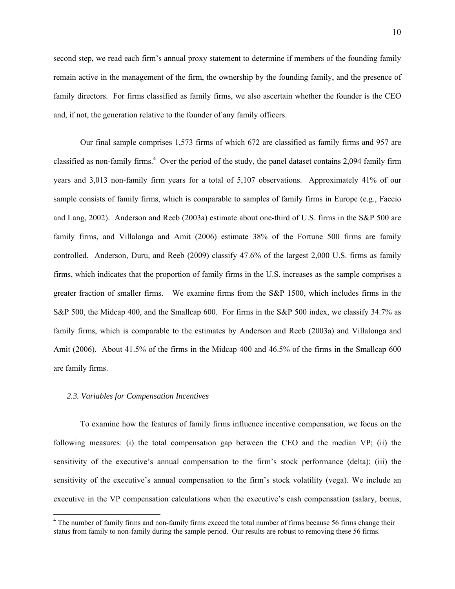second step, we read each firm's annual proxy statement to determine if members of the founding family remain active in the management of the firm, the ownership by the founding family, and the presence of family directors. For firms classified as family firms, we also ascertain whether the founder is the CEO and, if not, the generation relative to the founder of any family officers.

Our final sample comprises 1,573 firms of which 672 are classified as family firms and 957 are classified as non-family firms.<sup>4</sup> Over the period of the study, the panel dataset contains 2,094 family firm years and 3,013 non-family firm years for a total of 5,107 observations. Approximately 41% of our sample consists of family firms, which is comparable to samples of family firms in Europe (e.g., Faccio and Lang, 2002). Anderson and Reeb (2003a) estimate about one-third of U.S. firms in the S&P 500 are family firms, and Villalonga and Amit (2006) estimate 38% of the Fortune 500 firms are family controlled. Anderson, Duru, and Reeb (2009) classify 47.6% of the largest 2,000 U.S. firms as family firms, which indicates that the proportion of family firms in the U.S. increases as the sample comprises a greater fraction of smaller firms. We examine firms from the S&P 1500, which includes firms in the S&P 500, the Midcap 400, and the Smallcap 600. For firms in the S&P 500 index, we classify 34.7% as family firms, which is comparable to the estimates by Anderson and Reeb (2003a) and Villalonga and Amit (2006). About 41.5% of the firms in the Midcap 400 and 46.5% of the firms in the Smallcap 600 are family firms.

### *2.3. Variables for Compensation Incentives*

1

To examine how the features of family firms influence incentive compensation, we focus on the following measures: (i) the total compensation gap between the CEO and the median VP; (ii) the sensitivity of the executive's annual compensation to the firm's stock performance (delta); (iii) the sensitivity of the executive's annual compensation to the firm's stock volatility (vega). We include an executive in the VP compensation calculations when the executive's cash compensation (salary, bonus,

<sup>&</sup>lt;sup>4</sup> The number of family firms and non-family firms exceed the total number of firms because 56 firms change their status from family to non-family during the sample period. Our results are robust to removing these 56 firms.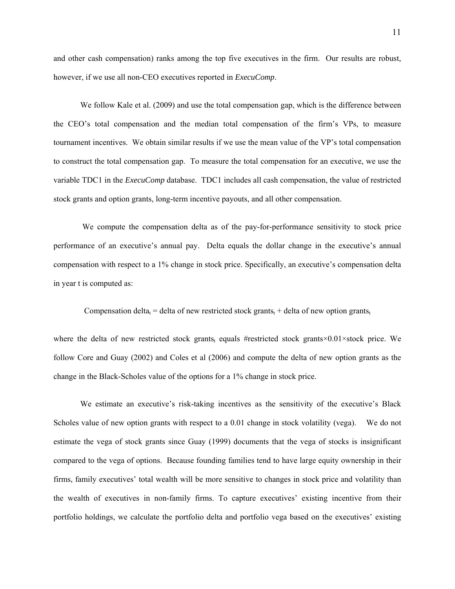and other cash compensation) ranks among the top five executives in the firm. Our results are robust, however, if we use all non-CEO executives reported in *ExecuComp*.

We follow Kale et al. (2009) and use the total compensation gap, which is the difference between the CEO's total compensation and the median total compensation of the firm's VPs, to measure tournament incentives. We obtain similar results if we use the mean value of the VP's total compensation to construct the total compensation gap. To measure the total compensation for an executive, we use the variable TDC1 in the *ExecuComp* database. TDC1 includes all cash compensation, the value of restricted stock grants and option grants, long-term incentive payouts, and all other compensation.

 We compute the compensation delta as of the pay-for-performance sensitivity to stock price performance of an executive's annual pay. Delta equals the dollar change in the executive's annual compensation with respect to a 1% change in stock price. Specifically, an executive's compensation delta in year t is computed as:

Compensation delta<sub>t</sub> = delta of new restricted stock grants<sub>t</sub> + delta of new option grants<sub>t</sub>

where the delta of new restricted stock grants<sub>t</sub> equals #restricted stock grants×0.01×stock price. We follow Core and Guay (2002) and Coles et al (2006) and compute the delta of new option grants as the change in the Black-Scholes value of the options for a 1% change in stock price.

We estimate an executive's risk-taking incentives as the sensitivity of the executive's Black Scholes value of new option grants with respect to a 0.01 change in stock volatility (vega). We do not estimate the vega of stock grants since Guay (1999) documents that the vega of stocks is insignificant compared to the vega of options. Because founding families tend to have large equity ownership in their firms, family executives' total wealth will be more sensitive to changes in stock price and volatility than the wealth of executives in non-family firms. To capture executives' existing incentive from their portfolio holdings, we calculate the portfolio delta and portfolio vega based on the executives' existing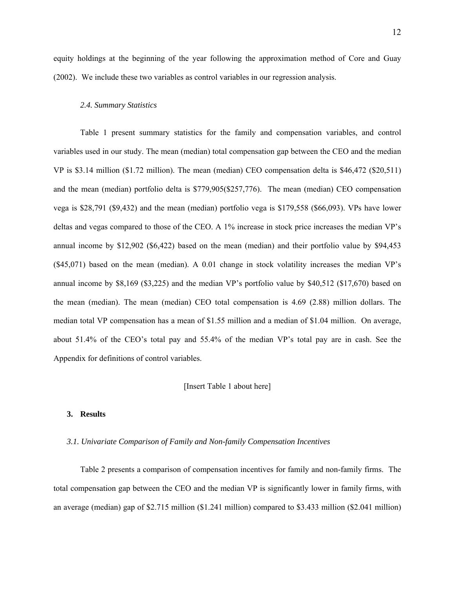equity holdings at the beginning of the year following the approximation method of Core and Guay (2002). We include these two variables as control variables in our regression analysis.

### *2.4. Summary Statistics*

Table 1 present summary statistics for the family and compensation variables, and control variables used in our study. The mean (median) total compensation gap between the CEO and the median VP is \$3.14 million (\$1.72 million). The mean (median) CEO compensation delta is \$46,472 (\$20,511) and the mean (median) portfolio delta is \$779,905(\$257,776). The mean (median) CEO compensation vega is \$28,791 (\$9,432) and the mean (median) portfolio vega is \$179,558 (\$66,093). VPs have lower deltas and vegas compared to those of the CEO. A 1% increase in stock price increases the median VP's annual income by \$12,902 (\$6,422) based on the mean (median) and their portfolio value by \$94,453 (\$45,071) based on the mean (median). A 0.01 change in stock volatility increases the median VP's annual income by \$8,169 (\$3,225) and the median VP's portfolio value by \$40,512 (\$17,670) based on the mean (median). The mean (median) CEO total compensation is 4.69 (2.88) million dollars. The median total VP compensation has a mean of \$1.55 million and a median of \$1.04 million. On average, about 51.4% of the CEO's total pay and 55.4% of the median VP's total pay are in cash. See the Appendix for definitions of control variables.

### [Insert Table 1 about here]

### **3. Results**

#### *3.1. Univariate Comparison of Family and Non-family Compensation Incentives*

Table 2 presents a comparison of compensation incentives for family and non-family firms. The total compensation gap between the CEO and the median VP is significantly lower in family firms, with an average (median) gap of \$2.715 million (\$1.241 million) compared to \$3.433 million (\$2.041 million)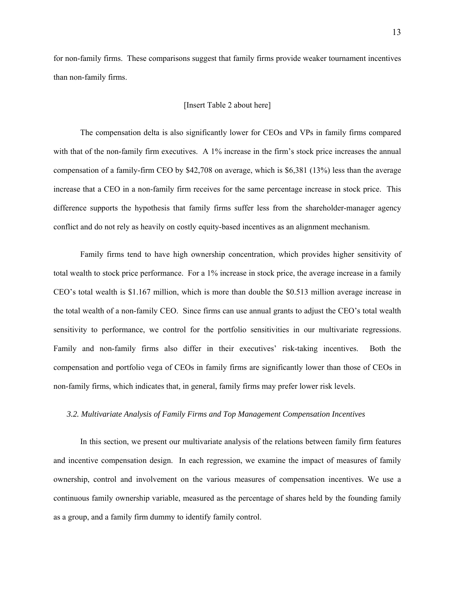for non-family firms. These comparisons suggest that family firms provide weaker tournament incentives than non-family firms.

### [Insert Table 2 about here]

The compensation delta is also significantly lower for CEOs and VPs in family firms compared with that of the non-family firm executives. A 1% increase in the firm's stock price increases the annual compensation of a family-firm CEO by \$42,708 on average, which is \$6,381 (13%) less than the average increase that a CEO in a non-family firm receives for the same percentage increase in stock price. This difference supports the hypothesis that family firms suffer less from the shareholder-manager agency conflict and do not rely as heavily on costly equity-based incentives as an alignment mechanism.

Family firms tend to have high ownership concentration, which provides higher sensitivity of total wealth to stock price performance. For a 1% increase in stock price, the average increase in a family CEO's total wealth is \$1.167 million, which is more than double the \$0.513 million average increase in the total wealth of a non-family CEO. Since firms can use annual grants to adjust the CEO's total wealth sensitivity to performance, we control for the portfolio sensitivities in our multivariate regressions. Family and non-family firms also differ in their executives' risk-taking incentives. Both the compensation and portfolio vega of CEOs in family firms are significantly lower than those of CEOs in non-family firms, which indicates that, in general, family firms may prefer lower risk levels.

### *3.2. Multivariate Analysis of Family Firms and Top Management Compensation Incentives*

In this section, we present our multivariate analysis of the relations between family firm features and incentive compensation design. In each regression, we examine the impact of measures of family ownership, control and involvement on the various measures of compensation incentives. We use a continuous family ownership variable, measured as the percentage of shares held by the founding family as a group, and a family firm dummy to identify family control.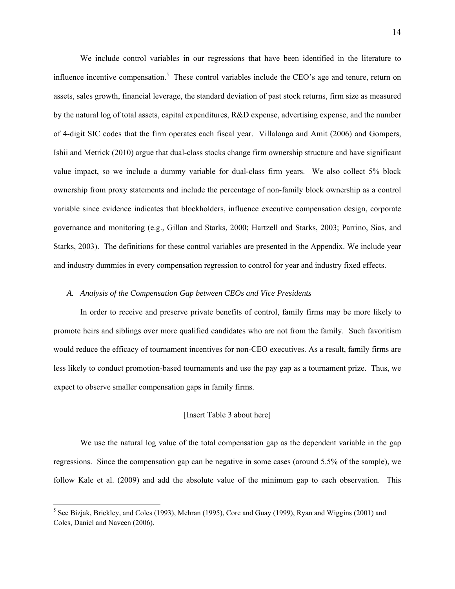We include control variables in our regressions that have been identified in the literature to influence incentive compensation.<sup>5</sup> These control variables include the CEO's age and tenure, return on assets, sales growth, financial leverage, the standard deviation of past stock returns, firm size as measured by the natural log of total assets, capital expenditures, R&D expense, advertising expense, and the number of 4-digit SIC codes that the firm operates each fiscal year. Villalonga and Amit (2006) and Gompers, Ishii and Metrick (2010) argue that dual-class stocks change firm ownership structure and have significant value impact, so we include a dummy variable for dual-class firm years. We also collect 5% block ownership from proxy statements and include the percentage of non-family block ownership as a control variable since evidence indicates that blockholders, influence executive compensation design, corporate governance and monitoring (e.g., Gillan and Starks, 2000; Hartzell and Starks, 2003; Parrino, Sias, and Starks, 2003). The definitions for these control variables are presented in the Appendix. We include year and industry dummies in every compensation regression to control for year and industry fixed effects.

### *A. Analysis of the Compensation Gap between CEOs and Vice Presidents*

In order to receive and preserve private benefits of control, family firms may be more likely to promote heirs and siblings over more qualified candidates who are not from the family. Such favoritism would reduce the efficacy of tournament incentives for non-CEO executives. As a result, family firms are less likely to conduct promotion-based tournaments and use the pay gap as a tournament prize. Thus, we expect to observe smaller compensation gaps in family firms.

# [Insert Table 3 about here]

We use the natural log value of the total compensation gap as the dependent variable in the gap regressions. Since the compensation gap can be negative in some cases (around 5.5% of the sample), we follow Kale et al. (2009) and add the absolute value of the minimum gap to each observation. This

1

<sup>&</sup>lt;sup>5</sup> See Bizjak, Brickley, and Coles (1993), Mehran (1995), Core and Guay (1999), Ryan and Wiggins (2001) and Coles, Daniel and Naveen (2006).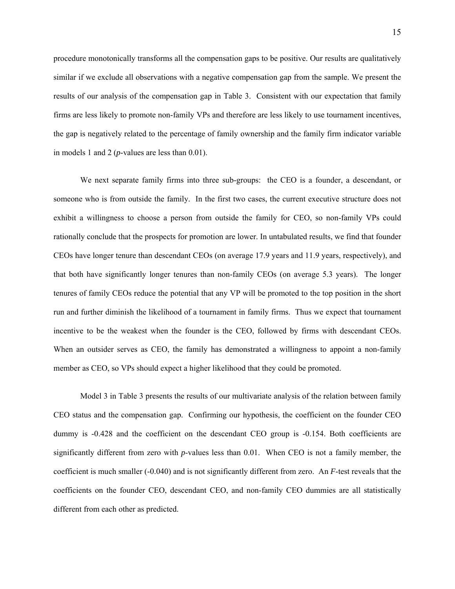procedure monotonically transforms all the compensation gaps to be positive. Our results are qualitatively similar if we exclude all observations with a negative compensation gap from the sample. We present the results of our analysis of the compensation gap in Table 3. Consistent with our expectation that family firms are less likely to promote non-family VPs and therefore are less likely to use tournament incentives, the gap is negatively related to the percentage of family ownership and the family firm indicator variable in models 1 and 2 (*p*-values are less than 0.01).

We next separate family firms into three sub-groups: the CEO is a founder, a descendant, or someone who is from outside the family. In the first two cases, the current executive structure does not exhibit a willingness to choose a person from outside the family for CEO, so non-family VPs could rationally conclude that the prospects for promotion are lower. In untabulated results, we find that founder CEOs have longer tenure than descendant CEOs (on average 17.9 years and 11.9 years, respectively), and that both have significantly longer tenures than non-family CEOs (on average 5.3 years). The longer tenures of family CEOs reduce the potential that any VP will be promoted to the top position in the short run and further diminish the likelihood of a tournament in family firms. Thus we expect that tournament incentive to be the weakest when the founder is the CEO, followed by firms with descendant CEOs. When an outsider serves as CEO, the family has demonstrated a willingness to appoint a non-family member as CEO, so VPs should expect a higher likelihood that they could be promoted.

Model 3 in Table 3 presents the results of our multivariate analysis of the relation between family CEO status and the compensation gap. Confirming our hypothesis, the coefficient on the founder CEO dummy is -0.428 and the coefficient on the descendant CEO group is -0.154. Both coefficients are significantly different from zero with *p*-values less than 0.01. When CEO is not a family member, the coefficient is much smaller (-0.040) and is not significantly different from zero. An *F*-test reveals that the coefficients on the founder CEO, descendant CEO, and non-family CEO dummies are all statistically different from each other as predicted.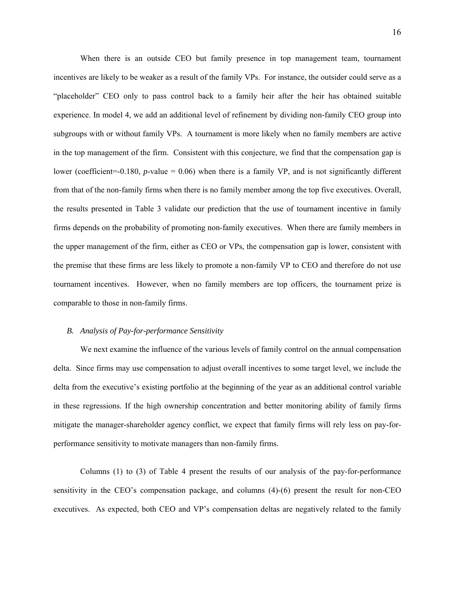When there is an outside CEO but family presence in top management team, tournament incentives are likely to be weaker as a result of the family VPs. For instance, the outsider could serve as a "placeholder" CEO only to pass control back to a family heir after the heir has obtained suitable experience. In model 4, we add an additional level of refinement by dividing non-family CEO group into subgroups with or without family VPs. A tournament is more likely when no family members are active in the top management of the firm. Consistent with this conjecture, we find that the compensation gap is lower (coefficient=-0.180, *p*-value = 0.06) when there is a family VP, and is not significantly different from that of the non-family firms when there is no family member among the top five executives. Overall, the results presented in Table 3 validate our prediction that the use of tournament incentive in family firms depends on the probability of promoting non-family executives. When there are family members in the upper management of the firm, either as CEO or VPs, the compensation gap is lower, consistent with the premise that these firms are less likely to promote a non-family VP to CEO and therefore do not use tournament incentives. However, when no family members are top officers, the tournament prize is comparable to those in non-family firms.

### *B. Analysis of Pay-for-performance Sensitivity*

We next examine the influence of the various levels of family control on the annual compensation delta. Since firms may use compensation to adjust overall incentives to some target level, we include the delta from the executive's existing portfolio at the beginning of the year as an additional control variable in these regressions. If the high ownership concentration and better monitoring ability of family firms mitigate the manager-shareholder agency conflict, we expect that family firms will rely less on pay-forperformance sensitivity to motivate managers than non-family firms.

Columns (1) to (3) of Table 4 present the results of our analysis of the pay-for-performance sensitivity in the CEO's compensation package, and columns (4)-(6) present the result for non-CEO executives. As expected, both CEO and VP's compensation deltas are negatively related to the family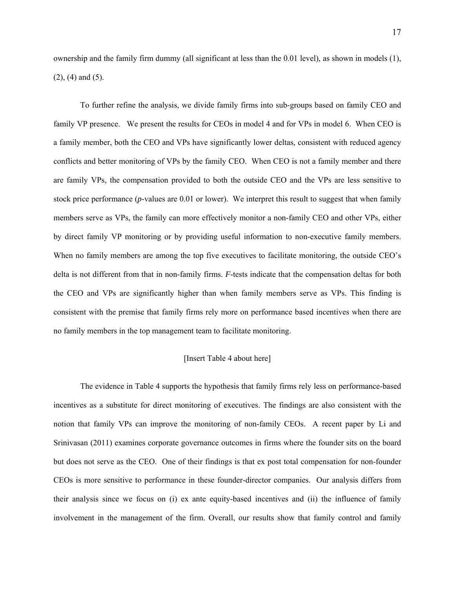ownership and the family firm dummy (all significant at less than the 0.01 level), as shown in models (1), (2), (4) and (5).

To further refine the analysis, we divide family firms into sub-groups based on family CEO and family VP presence. We present the results for CEOs in model 4 and for VPs in model 6. When CEO is a family member, both the CEO and VPs have significantly lower deltas, consistent with reduced agency conflicts and better monitoring of VPs by the family CEO. When CEO is not a family member and there are family VPs, the compensation provided to both the outside CEO and the VPs are less sensitive to stock price performance (*p*-values are 0.01 or lower). We interpret this result to suggest that when family members serve as VPs, the family can more effectively monitor a non-family CEO and other VPs, either by direct family VP monitoring or by providing useful information to non-executive family members. When no family members are among the top five executives to facilitate monitoring, the outside CEO's delta is not different from that in non-family firms. *F*-tests indicate that the compensation deltas for both the CEO and VPs are significantly higher than when family members serve as VPs. This finding is consistent with the premise that family firms rely more on performance based incentives when there are no family members in the top management team to facilitate monitoring.

### [Insert Table 4 about here]

The evidence in Table 4 supports the hypothesis that family firms rely less on performance-based incentives as a substitute for direct monitoring of executives. The findings are also consistent with the notion that family VPs can improve the monitoring of non-family CEOs. A recent paper by Li and Srinivasan (2011) examines corporate governance outcomes in firms where the founder sits on the board but does not serve as the CEO. One of their findings is that ex post total compensation for non-founder CEOs is more sensitive to performance in these founder-director companies. Our analysis differs from their analysis since we focus on (i) ex ante equity-based incentives and (ii) the influence of family involvement in the management of the firm. Overall, our results show that family control and family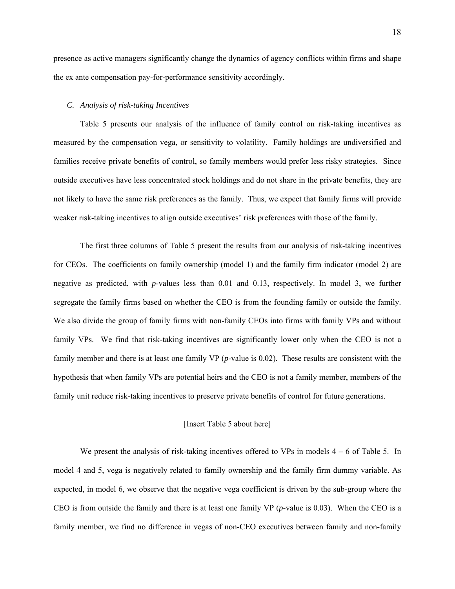presence as active managers significantly change the dynamics of agency conflicts within firms and shape the ex ante compensation pay-for-performance sensitivity accordingly.

### *C. Analysis of risk-taking Incentives*

Table 5 presents our analysis of the influence of family control on risk-taking incentives as measured by the compensation vega, or sensitivity to volatility. Family holdings are undiversified and families receive private benefits of control, so family members would prefer less risky strategies. Since outside executives have less concentrated stock holdings and do not share in the private benefits, they are not likely to have the same risk preferences as the family. Thus, we expect that family firms will provide weaker risk-taking incentives to align outside executives' risk preferences with those of the family.

The first three columns of Table 5 present the results from our analysis of risk-taking incentives for CEOs. The coefficients on family ownership (model 1) and the family firm indicator (model 2) are negative as predicted, with *p*-values less than 0.01 and 0.13, respectively. In model 3, we further segregate the family firms based on whether the CEO is from the founding family or outside the family. We also divide the group of family firms with non-family CEOs into firms with family VPs and without family VPs. We find that risk-taking incentives are significantly lower only when the CEO is not a family member and there is at least one family VP (*p*-value is 0.02). These results are consistent with the hypothesis that when family VPs are potential heirs and the CEO is not a family member, members of the family unit reduce risk-taking incentives to preserve private benefits of control for future generations.

# [Insert Table 5 about here]

We present the analysis of risk-taking incentives offered to VPs in models  $4 - 6$  of Table 5. In model 4 and 5, vega is negatively related to family ownership and the family firm dummy variable. As expected, in model 6, we observe that the negative vega coefficient is driven by the sub-group where the CEO is from outside the family and there is at least one family VP (*p*-value is 0.03). When the CEO is a family member, we find no difference in vegas of non-CEO executives between family and non-family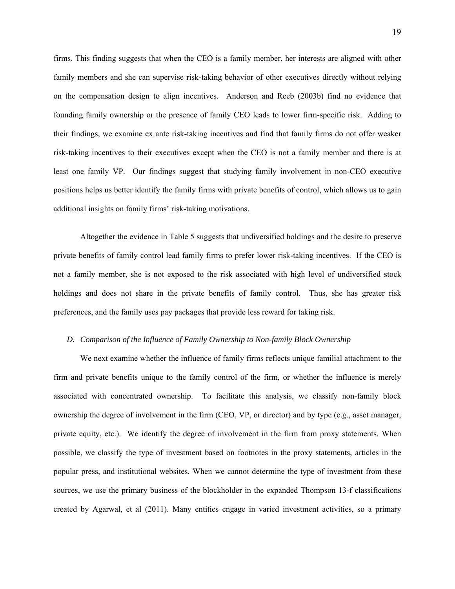firms. This finding suggests that when the CEO is a family member, her interests are aligned with other family members and she can supervise risk-taking behavior of other executives directly without relying on the compensation design to align incentives. Anderson and Reeb (2003b) find no evidence that founding family ownership or the presence of family CEO leads to lower firm-specific risk. Adding to their findings, we examine ex ante risk-taking incentives and find that family firms do not offer weaker risk-taking incentives to their executives except when the CEO is not a family member and there is at least one family VP. Our findings suggest that studying family involvement in non-CEO executive positions helps us better identify the family firms with private benefits of control, which allows us to gain additional insights on family firms' risk-taking motivations.

Altogether the evidence in Table 5 suggests that undiversified holdings and the desire to preserve private benefits of family control lead family firms to prefer lower risk-taking incentives. If the CEO is not a family member, she is not exposed to the risk associated with high level of undiversified stock holdings and does not share in the private benefits of family control. Thus, she has greater risk preferences, and the family uses pay packages that provide less reward for taking risk.

# *D. Comparison of the Influence of Family Ownership to Non-family Block Ownership*

We next examine whether the influence of family firms reflects unique familial attachment to the firm and private benefits unique to the family control of the firm, or whether the influence is merely associated with concentrated ownership. To facilitate this analysis, we classify non-family block ownership the degree of involvement in the firm (CEO, VP, or director) and by type (e.g., asset manager, private equity, etc.). We identify the degree of involvement in the firm from proxy statements. When possible, we classify the type of investment based on footnotes in the proxy statements, articles in the popular press, and institutional websites. When we cannot determine the type of investment from these sources, we use the primary business of the blockholder in the expanded Thompson 13-f classifications created by Agarwal, et al (2011). Many entities engage in varied investment activities, so a primary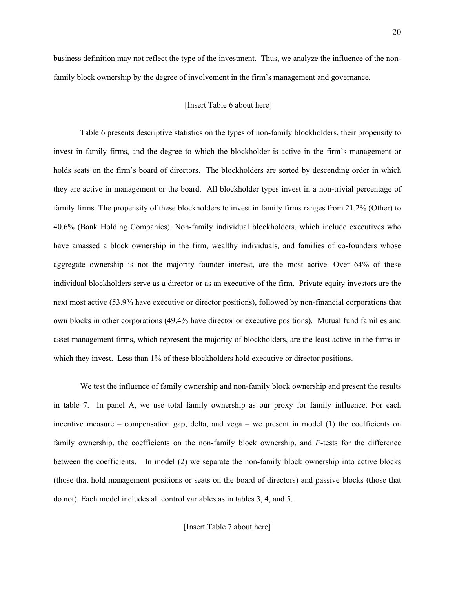business definition may not reflect the type of the investment. Thus, we analyze the influence of the nonfamily block ownership by the degree of involvement in the firm's management and governance.

### [Insert Table 6 about here]

Table 6 presents descriptive statistics on the types of non-family blockholders, their propensity to invest in family firms, and the degree to which the blockholder is active in the firm's management or holds seats on the firm's board of directors. The blockholders are sorted by descending order in which they are active in management or the board. All blockholder types invest in a non-trivial percentage of family firms. The propensity of these blockholders to invest in family firms ranges from 21.2% (Other) to 40.6% (Bank Holding Companies). Non-family individual blockholders, which include executives who have amassed a block ownership in the firm, wealthy individuals, and families of co-founders whose aggregate ownership is not the majority founder interest, are the most active. Over 64% of these individual blockholders serve as a director or as an executive of the firm. Private equity investors are the next most active (53.9% have executive or director positions), followed by non-financial corporations that own blocks in other corporations (49.4% have director or executive positions). Mutual fund families and asset management firms, which represent the majority of blockholders, are the least active in the firms in which they invest. Less than 1% of these blockholders hold executive or director positions.

We test the influence of family ownership and non-family block ownership and present the results in table 7. In panel A, we use total family ownership as our proxy for family influence. For each incentive measure – compensation gap, delta, and vega – we present in model (1) the coefficients on family ownership, the coefficients on the non-family block ownership, and *F*-tests for the difference between the coefficients. In model (2) we separate the non-family block ownership into active blocks (those that hold management positions or seats on the board of directors) and passive blocks (those that do not). Each model includes all control variables as in tables 3, 4, and 5.

[Insert Table 7 about here]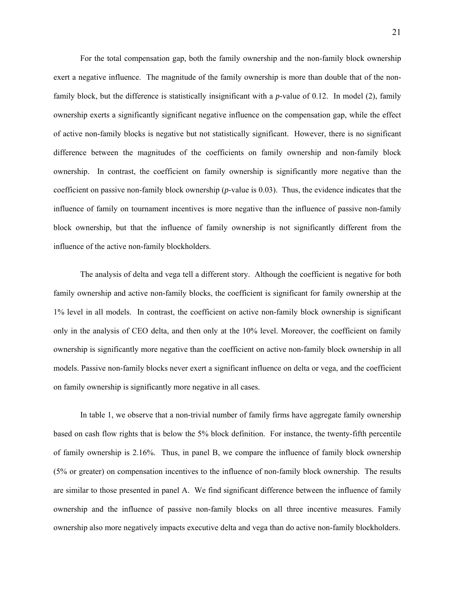For the total compensation gap, both the family ownership and the non-family block ownership exert a negative influence. The magnitude of the family ownership is more than double that of the nonfamily block, but the difference is statistically insignificant with a *p*-value of 0.12. In model (2), family ownership exerts a significantly significant negative influence on the compensation gap, while the effect of active non-family blocks is negative but not statistically significant. However, there is no significant difference between the magnitudes of the coefficients on family ownership and non-family block ownership. In contrast, the coefficient on family ownership is significantly more negative than the coefficient on passive non-family block ownership (*p*-value is 0.03). Thus, the evidence indicates that the influence of family on tournament incentives is more negative than the influence of passive non-family block ownership, but that the influence of family ownership is not significantly different from the influence of the active non-family blockholders.

The analysis of delta and vega tell a different story. Although the coefficient is negative for both family ownership and active non-family blocks, the coefficient is significant for family ownership at the 1% level in all models. In contrast, the coefficient on active non-family block ownership is significant only in the analysis of CEO delta, and then only at the 10% level. Moreover, the coefficient on family ownership is significantly more negative than the coefficient on active non-family block ownership in all models. Passive non-family blocks never exert a significant influence on delta or vega, and the coefficient on family ownership is significantly more negative in all cases.

In table 1, we observe that a non-trivial number of family firms have aggregate family ownership based on cash flow rights that is below the 5% block definition. For instance, the twenty-fifth percentile of family ownership is 2.16%. Thus, in panel B, we compare the influence of family block ownership (5% or greater) on compensation incentives to the influence of non-family block ownership. The results are similar to those presented in panel A. We find significant difference between the influence of family ownership and the influence of passive non-family blocks on all three incentive measures. Family ownership also more negatively impacts executive delta and vega than do active non-family blockholders.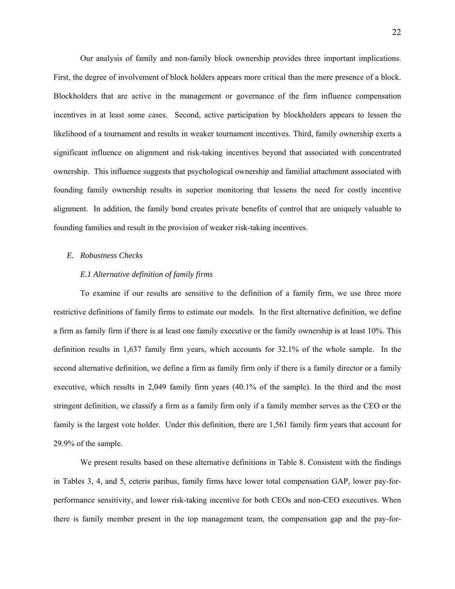Our analysis of family and non-family block ownership provides three important implications. First, the degree of involvement of block holders appears more critical than the mere presence of a block. Blockholders that are active in the management or governance of the firm influence compensation incentives in at least some cases. Second, active participation by blockholders appears to lessen the likelihood of a tournament and results in weaker tournament incentives. Third, family ownership exerts a significant influence on alignment and risk-taking incentives beyond that associated with concentrated ownership. This influence suggests that psychological ownership and familial attachment associated with founding family ownership results in superior monitoring that lessens the need for costly incentive alignment. In addition, the family bond creates private benefits of control that are uniquely valuable to founding families and result in the provision of weaker risk-taking incentives.

### *E. Robustness Checks*

# *E.1 Alternative definition of family firms*

To examine if our results are sensitive to the definition of a family firm, we use three more restrictive definitions of family firms to estimate our models. In the first alternative definition, we define a firm as family firm if there is at least one family executive or the family ownership is at least 10%. This definition results in 1,637 family firm years, which accounts for 32.1% of the whole sample. In the second alternative definition, we define a firm as family firm only if there is a family director or a family executive, which results in 2,049 family firm years (40.1% of the sample). In the third and the most stringent definition, we classify a firm as a family firm only if a family member serves as the CEO or the family is the largest vote holder. Under this definition, there are 1,561 family firm years that account for 29.9% of the sample.

We present results based on these alternative definitions in Table 8. Consistent with the findings in Tables 3, 4, and 5, ceteris paribus, family firms have lower total compensation GAP, lower pay-forperformance sensitivity, and lower risk-taking incentive for both CEOs and non-CEO executives. When there is family member present in the top management team, the compensation gap and the pay-for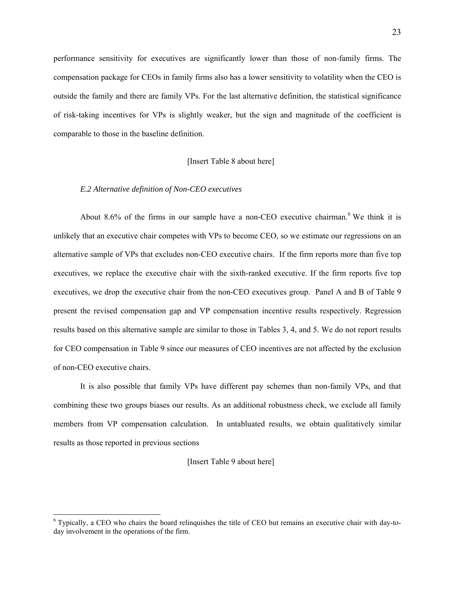performance sensitivity for executives are significantly lower than those of non-family firms. The compensation package for CEOs in family firms also has a lower sensitivity to volatility when the CEO is outside the family and there are family VPs. For the last alternative definition, the statistical significance of risk-taking incentives for VPs is slightly weaker, but the sign and magnitude of the coefficient is comparable to those in the baseline definition.

### [Insert Table 8 about here]

# *E.2 Alternative definition of Non-CEO executives*

1

About 8.6% of the firms in our sample have a non-CEO executive chairman.<sup>6</sup> We think it is unlikely that an executive chair competes with VPs to become CEO, so we estimate our regressions on an alternative sample of VPs that excludes non-CEO executive chairs. If the firm reports more than five top executives, we replace the executive chair with the sixth-ranked executive. If the firm reports five top executives, we drop the executive chair from the non-CEO executives group. Panel A and B of Table 9 present the revised compensation gap and VP compensation incentive results respectively. Regression results based on this alternative sample are similar to those in Tables 3, 4, and 5. We do not report results for CEO compensation in Table 9 since our measures of CEO incentives are not affected by the exclusion of non-CEO executive chairs.

It is also possible that family VPs have different pay schemes than non-family VPs, and that combining these two groups biases our results. As an additional robustness check, we exclude all family members from VP compensation calculation. In untabluated results, we obtain qualitatively similar results as those reported in previous sections

[Insert Table 9 about here]

<sup>&</sup>lt;sup>6</sup> Typically, a CEO who chairs the board relinquishes the title of CEO but remains an executive chair with day-today involvement in the operations of the firm.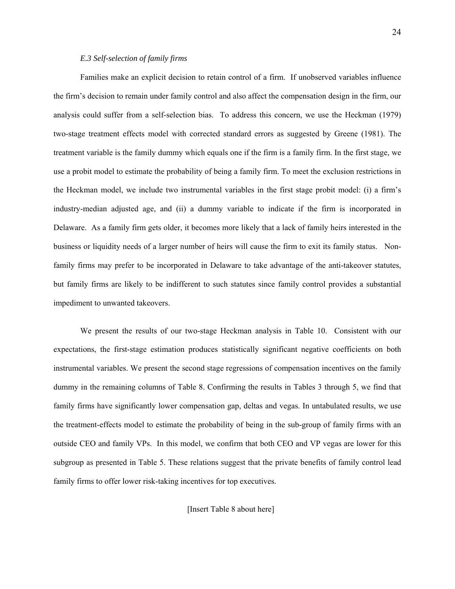### *E.3 Self-selection of family firms*

Families make an explicit decision to retain control of a firm. If unobserved variables influence the firm's decision to remain under family control and also affect the compensation design in the firm, our analysis could suffer from a self-selection bias. To address this concern, we use the Heckman (1979) two-stage treatment effects model with corrected standard errors as suggested by Greene (1981). The treatment variable is the family dummy which equals one if the firm is a family firm. In the first stage, we use a probit model to estimate the probability of being a family firm. To meet the exclusion restrictions in the Heckman model, we include two instrumental variables in the first stage probit model: (i) a firm's industry-median adjusted age, and (ii) a dummy variable to indicate if the firm is incorporated in Delaware. As a family firm gets older, it becomes more likely that a lack of family heirs interested in the business or liquidity needs of a larger number of heirs will cause the firm to exit its family status. Nonfamily firms may prefer to be incorporated in Delaware to take advantage of the anti-takeover statutes, but family firms are likely to be indifferent to such statutes since family control provides a substantial impediment to unwanted takeovers.

We present the results of our two-stage Heckman analysis in Table 10. Consistent with our expectations, the first-stage estimation produces statistically significant negative coefficients on both instrumental variables. We present the second stage regressions of compensation incentives on the family dummy in the remaining columns of Table 8. Confirming the results in Tables 3 through 5, we find that family firms have significantly lower compensation gap, deltas and vegas. In untabulated results, we use the treatment-effects model to estimate the probability of being in the sub-group of family firms with an outside CEO and family VPs. In this model, we confirm that both CEO and VP vegas are lower for this subgroup as presented in Table 5. These relations suggest that the private benefits of family control lead family firms to offer lower risk-taking incentives for top executives.

[Insert Table 8 about here]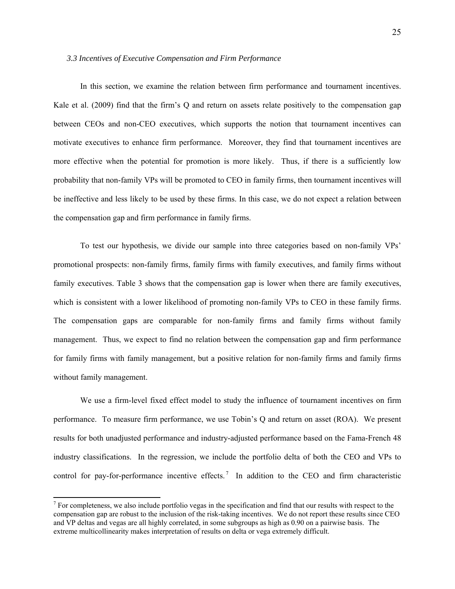#### *3.3 Incentives of Executive Compensation and Firm Performance*

In this section, we examine the relation between firm performance and tournament incentives. Kale et al. (2009) find that the firm's Q and return on assets relate positively to the compensation gap between CEOs and non-CEO executives, which supports the notion that tournament incentives can motivate executives to enhance firm performance. Moreover, they find that tournament incentives are more effective when the potential for promotion is more likely. Thus, if there is a sufficiently low probability that non-family VPs will be promoted to CEO in family firms, then tournament incentives will be ineffective and less likely to be used by these firms. In this case, we do not expect a relation between the compensation gap and firm performance in family firms.

 To test our hypothesis, we divide our sample into three categories based on non-family VPs' promotional prospects: non-family firms, family firms with family executives, and family firms without family executives. Table 3 shows that the compensation gap is lower when there are family executives, which is consistent with a lower likelihood of promoting non-family VPs to CEO in these family firms. The compensation gaps are comparable for non-family firms and family firms without family management. Thus, we expect to find no relation between the compensation gap and firm performance for family firms with family management, but a positive relation for non-family firms and family firms without family management.

 We use a firm-level fixed effect model to study the influence of tournament incentives on firm performance. To measure firm performance, we use Tobin's Q and return on asset (ROA). We present results for both unadjusted performance and industry-adjusted performance based on the Fama-French 48 industry classifications. In the regression, we include the portfolio delta of both the CEO and VPs to control for pay-for-performance incentive effects.<sup>7</sup> In addition to the CEO and firm characteristic

l

 $<sup>7</sup>$  For completeness, we also include portfolio vegas in the specification and find that our results with respect to the</sup> compensation gap are robust to the inclusion of the risk-taking incentives. We do not report these results since CEO and VP deltas and vegas are all highly correlated, in some subgroups as high as 0.90 on a pairwise basis. The extreme multicollinearity makes interpretation of results on delta or vega extremely difficult.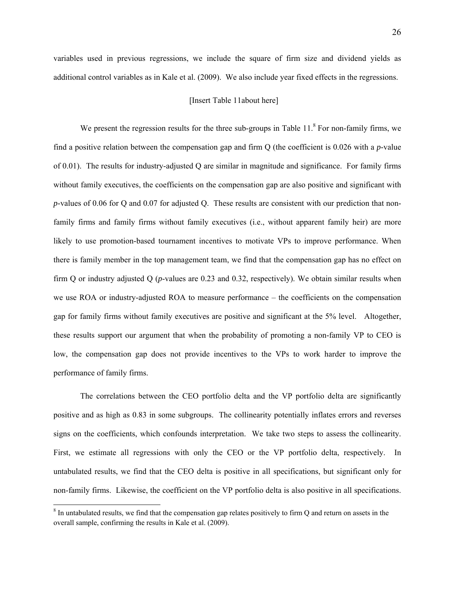variables used in previous regressions, we include the square of firm size and dividend yields as additional control variables as in Kale et al. (2009). We also include year fixed effects in the regressions.

### [Insert Table 11about here]

We present the regression results for the three sub-groups in Table  $11$ .<sup>8</sup> For non-family firms, we find a positive relation between the compensation gap and firm Q (the coefficient is 0.026 with a *p*-value of 0.01). The results for industry-adjusted Q are similar in magnitude and significance. For family firms without family executives, the coefficients on the compensation gap are also positive and significant with *p*-values of 0.06 for Q and 0.07 for adjusted Q. These results are consistent with our prediction that nonfamily firms and family firms without family executives (i.e., without apparent family heir) are more likely to use promotion-based tournament incentives to motivate VPs to improve performance. When there is family member in the top management team, we find that the compensation gap has no effect on firm Q or industry adjusted Q (*p*-values are 0.23 and 0.32, respectively). We obtain similar results when we use ROA or industry-adjusted ROA to measure performance – the coefficients on the compensation gap for family firms without family executives are positive and significant at the 5% level. Altogether, these results support our argument that when the probability of promoting a non-family VP to CEO is low, the compensation gap does not provide incentives to the VPs to work harder to improve the performance of family firms.

The correlations between the CEO portfolio delta and the VP portfolio delta are significantly positive and as high as 0.83 in some subgroups. The collinearity potentially inflates errors and reverses signs on the coefficients, which confounds interpretation. We take two steps to assess the collinearity. First, we estimate all regressions with only the CEO or the VP portfolio delta, respectively. In untabulated results, we find that the CEO delta is positive in all specifications, but significant only for non-family firms. Likewise, the coefficient on the VP portfolio delta is also positive in all specifications.

1

 $8 \text{ In untabulated results, we find that the compensation gap relates positively to firm Q and return on assets in the$ overall sample, confirming the results in Kale et al. (2009).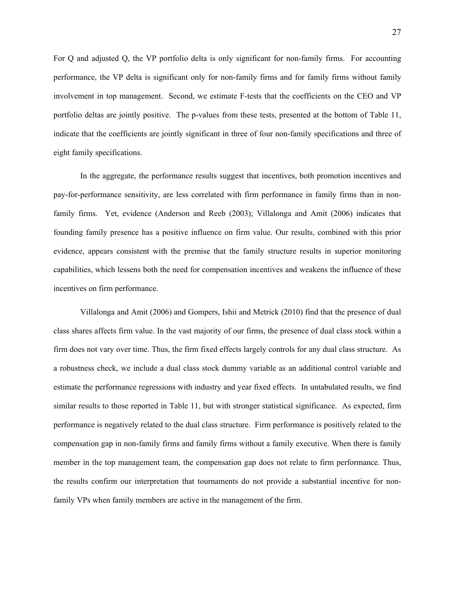For Q and adjusted Q, the VP portfolio delta is only significant for non-family firms. For accounting performance, the VP delta is significant only for non-family firms and for family firms without family involvement in top management. Second, we estimate F-tests that the coefficients on the CEO and VP portfolio deltas are jointly positive. The p-values from these tests, presented at the bottom of Table 11, indicate that the coefficients are jointly significant in three of four non-family specifications and three of eight family specifications.

In the aggregate, the performance results suggest that incentives, both promotion incentives and pay-for-performance sensitivity, are less correlated with firm performance in family firms than in nonfamily firms. Yet, evidence (Anderson and Reeb (2003); Villalonga and Amit (2006) indicates that founding family presence has a positive influence on firm value. Our results, combined with this prior evidence, appears consistent with the premise that the family structure results in superior monitoring capabilities, which lessens both the need for compensation incentives and weakens the influence of these incentives on firm performance.

Villalonga and Amit (2006) and Gompers, Ishii and Metrick (2010) find that the presence of dual class shares affects firm value. In the vast majority of our firms, the presence of dual class stock within a firm does not vary over time. Thus, the firm fixed effects largely controls for any dual class structure. As a robustness check, we include a dual class stock dummy variable as an additional control variable and estimate the performance regressions with industry and year fixed effects. In untabulated results, we find similar results to those reported in Table 11, but with stronger statistical significance. As expected, firm performance is negatively related to the dual class structure. Firm performance is positively related to the compensation gap in non-family firms and family firms without a family executive. When there is family member in the top management team, the compensation gap does not relate to firm performance. Thus, the results confirm our interpretation that tournaments do not provide a substantial incentive for nonfamily VPs when family members are active in the management of the firm.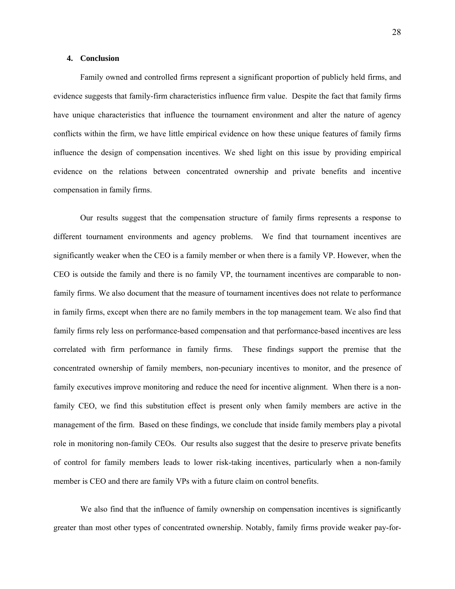### **4. Conclusion**

Family owned and controlled firms represent a significant proportion of publicly held firms, and evidence suggests that family-firm characteristics influence firm value. Despite the fact that family firms have unique characteristics that influence the tournament environment and alter the nature of agency conflicts within the firm, we have little empirical evidence on how these unique features of family firms influence the design of compensation incentives. We shed light on this issue by providing empirical evidence on the relations between concentrated ownership and private benefits and incentive compensation in family firms.

Our results suggest that the compensation structure of family firms represents a response to different tournament environments and agency problems. We find that tournament incentives are significantly weaker when the CEO is a family member or when there is a family VP. However, when the CEO is outside the family and there is no family VP, the tournament incentives are comparable to nonfamily firms. We also document that the measure of tournament incentives does not relate to performance in family firms, except when there are no family members in the top management team. We also find that family firms rely less on performance-based compensation and that performance-based incentives are less correlated with firm performance in family firms. These findings support the premise that the concentrated ownership of family members, non-pecuniary incentives to monitor, and the presence of family executives improve monitoring and reduce the need for incentive alignment. When there is a nonfamily CEO, we find this substitution effect is present only when family members are active in the management of the firm. Based on these findings, we conclude that inside family members play a pivotal role in monitoring non-family CEOs. Our results also suggest that the desire to preserve private benefits of control for family members leads to lower risk-taking incentives, particularly when a non-family member is CEO and there are family VPs with a future claim on control benefits.

We also find that the influence of family ownership on compensation incentives is significantly greater than most other types of concentrated ownership. Notably, family firms provide weaker pay-for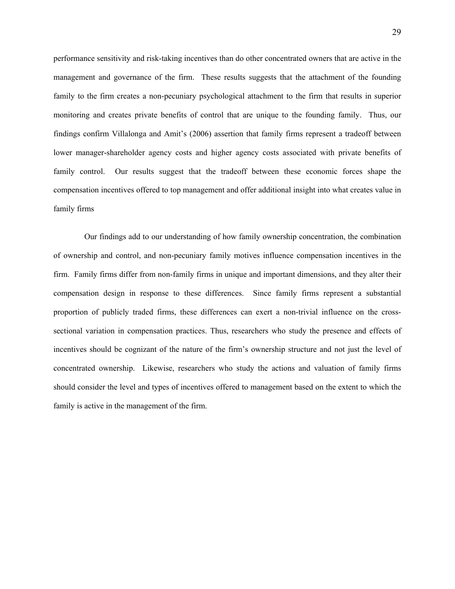performance sensitivity and risk-taking incentives than do other concentrated owners that are active in the management and governance of the firm. These results suggests that the attachment of the founding family to the firm creates a non-pecuniary psychological attachment to the firm that results in superior monitoring and creates private benefits of control that are unique to the founding family. Thus, our findings confirm Villalonga and Amit's (2006) assertion that family firms represent a tradeoff between lower manager-shareholder agency costs and higher agency costs associated with private benefits of family control. Our results suggest that the tradeoff between these economic forces shape the compensation incentives offered to top management and offer additional insight into what creates value in family firms

 Our findings add to our understanding of how family ownership concentration, the combination of ownership and control, and non-pecuniary family motives influence compensation incentives in the firm. Family firms differ from non-family firms in unique and important dimensions, and they alter their compensation design in response to these differences. Since family firms represent a substantial proportion of publicly traded firms, these differences can exert a non-trivial influence on the crosssectional variation in compensation practices. Thus, researchers who study the presence and effects of incentives should be cognizant of the nature of the firm's ownership structure and not just the level of concentrated ownership. Likewise, researchers who study the actions and valuation of family firms should consider the level and types of incentives offered to management based on the extent to which the family is active in the management of the firm.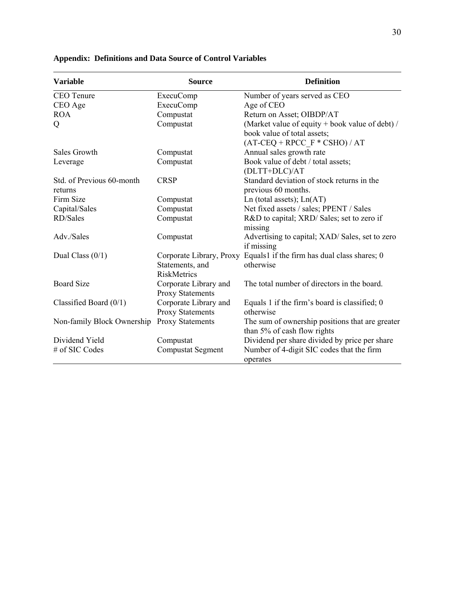| <b>Variable</b>            | <b>Source</b>                                    | <b>Definition</b>                                                                  |
|----------------------------|--------------------------------------------------|------------------------------------------------------------------------------------|
| <b>CEO</b> Tenure          | <b>ExecuComp</b>                                 | Number of years served as CEO                                                      |
| CEO Age                    | <b>ExecuComp</b>                                 | Age of CEO                                                                         |
| <b>ROA</b>                 | Compustat                                        | Return on Asset; OIBDP/AT                                                          |
| Q                          | Compustat                                        | (Market value of equity + book value of debt) /                                    |
|                            |                                                  | book value of total assets;                                                        |
|                            |                                                  | $(AT-CEQ + RPCC F * CSHO) / AT$                                                    |
| Sales Growth               | Compustat                                        | Annual sales growth rate                                                           |
| Leverage                   | Compustat                                        | Book value of debt / total assets;                                                 |
|                            |                                                  | (DLTT+DLC)/AT                                                                      |
| Std. of Previous 60-month  | <b>CRSP</b>                                      | Standard deviation of stock returns in the                                         |
| returns                    |                                                  | previous 60 months.                                                                |
| Firm Size                  | Compustat                                        | Ln (total assets); $Ln(AT)$                                                        |
| Capital/Sales              | Compustat                                        | Net fixed assets / sales; PPENT / Sales                                            |
| RD/Sales                   | Compustat                                        | R&D to capital; XRD/ Sales; set to zero if<br>missing                              |
| Adv./Sales                 | Compustat                                        | Advertising to capital; XAD/Sales, set to zero<br>if missing                       |
| Dual Class $(0/1)$         | Statements, and<br><b>RiskMetrics</b>            | Corporate Library, Proxy Equals1 if the firm has dual class shares; 0<br>otherwise |
| <b>Board Size</b>          | Corporate Library and<br><b>Proxy Statements</b> | The total number of directors in the board.                                        |
| Classified Board $(0/1)$   | Corporate Library and                            | Equals 1 if the firm's board is classified; $0$                                    |
|                            | <b>Proxy Statements</b>                          | otherwise                                                                          |
| Non-family Block Ownership | <b>Proxy Statements</b>                          | The sum of ownership positions that are greater<br>than 5% of cash flow rights     |
| Dividend Yield             | Compustat                                        | Dividend per share divided by price per share                                      |
| # of SIC Codes             | <b>Compustat Segment</b>                         | Number of 4-digit SIC codes that the firm<br>operates                              |

# **Appendix: Definitions and Data Source of Control Variables**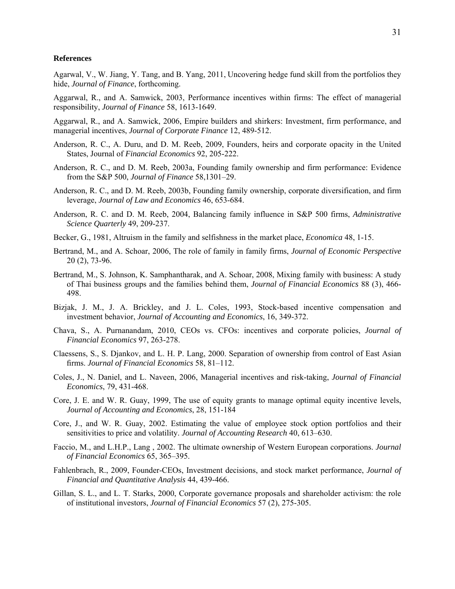#### **References**

Agarwal, V., W. Jiang, Y. Tang, and B. Yang, 2011, Uncovering hedge fund skill from the portfolios they hide, *Journal of Finance*, forthcoming.

Aggarwal, R., and A. Samwick, 2003, Performance incentives within firms: The effect of managerial responsibility, *Journal of Finance* 58, 1613-1649.

Aggarwal, R., and A. Samwick, 2006, Empire builders and shirkers: Investment, firm performance, and managerial incentives, *Journal of Corporate Finance* 12, 489-512.

- Anderson, R. C., A. Duru, and D. M. Reeb, 2009, Founders, heirs and corporate opacity in the United States, Journal of *Financial Economics* 92, 205-222.
- Anderson, R. C., and D. M. Reeb, 2003a, Founding family ownership and firm performance: Evidence from the S&P 500, *Journal of Finance* 58,1301–29.
- Anderson, R. C., and D. M. Reeb, 2003b, Founding family ownership, corporate diversification, and firm leverage, *Journal of Law and Economics* 46, 653-684.
- Anderson, R. C. and D. M. Reeb, 2004, Balancing family influence in S&P 500 firms, *Administrative Science Quarterly* 49, 209-237.
- Becker, G., 1981, Altruism in the family and selfishness in the market place, *Economica* 48, 1-15.
- Bertrand, M., and A. Schoar, 2006, The role of family in family firms, *Journal of Economic Perspective* 20 (2), 73-96.
- Bertrand, M., S. Johnson, K. Samphantharak, and A. Schoar, 2008, Mixing family with business: A study of Thai business groups and the families behind them, *Journal of Financial Economics* 88 (3), 466- 498.
- Bizjak, J. M., J. A. Brickley, and J. L. Coles, 1993, Stock-based incentive compensation and investment behavior, *Journal of Accounting and Economics*, 16, 349-372.
- Chava, S., A. Purnanandam, 2010, CEOs vs. CFOs: incentives and corporate policies, *Journal of Financial Economics* 97, 263-278.
- Claessens, S., S. Djankov, and L. H. P. Lang, 2000. Separation of ownership from control of East Asian firms. *Journal of Financial Economics* 58, 81–112.
- Coles, J., N. Daniel, and L. Naveen, 2006, Managerial incentives and risk-taking, *Journal of Financial Economics*, 79, 431-468.
- Core, J. E. and W. R. Guay, 1999, The use of equity grants to manage optimal equity incentive levels, *Journal of Accounting and Economics*, 28, 151-184
- Core, J., and W. R. Guay, 2002. Estimating the value of employee stock option portfolios and their sensitivities to price and volatility. *Journal of Accounting Research* 40, 613–630.
- Faccio, M., and L.H.P., Lang , 2002. The ultimate ownership of Western European corporations. *Journal of Financial Economics* 65, 365–395.
- Fahlenbrach, R., 2009, Founder-CEOs, Investment decisions, and stock market performance, *Journal of Financial and Quantitative Analysis* 44, 439-466.
- Gillan, S. L., and L. T. Starks, 2000, Corporate governance proposals and shareholder activism: the role of institutional investors, *Journal of Financial Economics* 57 (2), 275-305.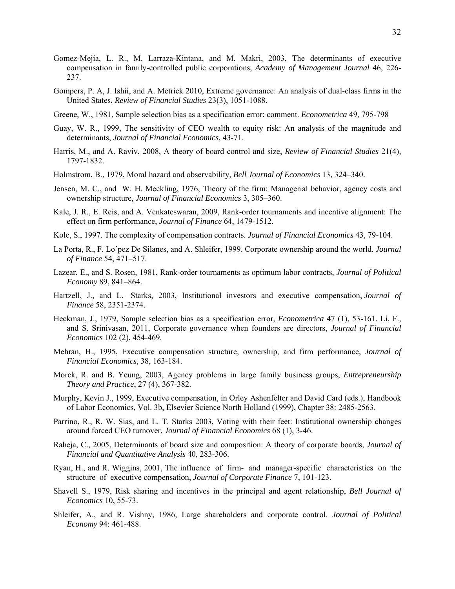- Gomez-Mejia, L. R., M. Larraza-Kintana, and M. Makri, 2003, The determinants of executive compensation in family-controlled public corporations, *Academy of Management Journal* 46, 226- 237.
- Gompers, P. A, J. Ishii, and A. Metrick 2010, Extreme governance: An analysis of dual-class firms in the United States, *Review of Financial Studies* 23(3), 1051-1088.
- Greene, W., 1981, Sample selection bias as a specification error: comment. *Econometrica* 49, 795-798
- Guay, W. R., 1999, The sensitivity of CEO wealth to equity risk: An analysis of the magnitude and determinants, *Journal of Financial Economics*, 43-71.
- Harris, M., and A. Raviv, 2008, A theory of board control and size, *Review of Financial Studies* 21(4), 1797-1832.
- Holmstrom, B., 1979, Moral hazard and observability, *Bell Journal of Economics* 13, 324–340.
- Jensen, M. C., and W. H. Meckling, 1976, Theory of the firm: Managerial behavior, agency costs and ownership structure, *Journal of Financial Economics* 3, 305–360.
- Kale, J. R., E. Reis, and A. Venkateswaran, 2009, Rank-order tournaments and incentive alignment: The effect on firm performance, *Journal of Finance* 64, 1479-1512.
- Kole, S., 1997. The complexity of compensation contracts. *Journal of Financial Economics* 43, 79-104.
- La Porta, R., F. Lo´pez De Silanes, and A. Shleifer, 1999. Corporate ownership around the world. *Journal of Finance* 54, 471–517.
- Lazear, E., and S. Rosen, 1981, Rank-order tournaments as optimum labor contracts, *Journal of Political Economy* 89, 841–864.
- Hartzell, J., and L. Starks, 2003, Institutional investors and executive compensation, *Journal of Finance* 58, 2351-2374.
- Heckman, J., 1979, Sample selection bias as a specification error, *Econometrica* 47 (1), 53-161. Li, F., and S. Srinivasan, 2011, Corporate governance when founders are directors, *Journal of Financial Economics* 102 (2), 454-469.
- Mehran, H., 1995, Executive compensation structure, ownership, and firm performance, *Journal of Financial Economics*, 38, 163-184.
- Morck, R. and B. Yeung, 2003, Agency problems in large family business groups, *Entrepreneurship Theory and Practice*, 27 (4), 367-382.
- Murphy, Kevin J., 1999, Executive compensation, in Orley Ashenfelter and David Card (eds.), Handbook of Labor Economics, Vol. 3b, Elsevier Science North Holland (1999), Chapter 38: 2485-2563.
- Parrino, R., R. W. Sias, and L. T. Starks 2003, Voting with their feet: Institutional ownership changes around forced CEO turnover, *Journal of Financial Economics* 68 (1), 3-46.
- Raheja, C., 2005, Determinants of board size and composition: A theory of corporate boards, *Journal of Financial and Quantitative Analysis* 40, 283-306.
- Ryan, H., and R. Wiggins, 2001, The influence of firm- and manager-specific characteristics on the structure of executive compensation, *Journal of Corporate Finance* 7, 101-123.
- Shavell S., 1979, Risk sharing and incentives in the principal and agent relationship, *Bell Journal of Economics* 10, 55-73.
- Shleifer, A., and R. Vishny, 1986, Large shareholders and corporate control. *Journal of Political Economy* 94: 461-488.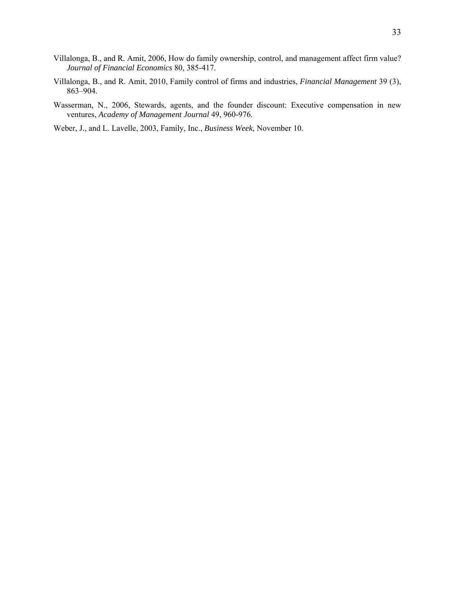- Villalonga, B., and R. Amit, 2006, How do family ownership, control, and management affect firm value? *Journal of Financial Economics* 80, 385-417.
- Villalonga, B., and R. Amit, 2010, Family control of firms and industries, *Financial Management* 39 (3), 863–904.
- Wasserman, N., 2006, Stewards, agents, and the founder discount: Executive compensation in new ventures, *Academy of Management Journal* 49, 960-976.
- Weber, J., and L. Lavelle, 2003, Family, Inc., *Business Week*, November 10.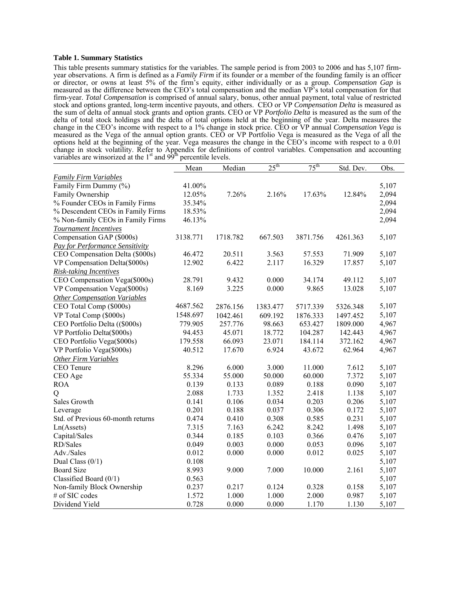#### **Table 1. Summary Statistics**

This table presents summary statistics for the variables. The sample period is from 2003 to 2006 and has 5,107 firmyear observations. A firm is defined as a *Family Firm* if its founder or a member of the founding family is an officer or director, or owns at least 5% of the firm's equity, either individually or as a group. *Compensation Gap* is measured as the difference between the CEO's total compensation and the median VP's total compensation for that firm-year. *Total Compensation* is comprised of annual salary, bonus, other annual payment, total value of restricted stock and options granted, long-term incentive payouts, and others. CEO or VP *Compensation Delta* is measured as the sum of delta of annual stock grants and option grants. CEO or VP *Portfolio Delta* is measured as the sum of the delta of total stock holdings and the delta of total options held at the beginning of the year. Delta measures the change in the CEO's income with respect to a 1% change in stock price. CEO or VP annual *Compensation Vega* is measured as the Vega of the annual option grants. CEO or VP Portfolio Vega is measured as the Vega of all the options held at the beginning of the year. Vega measures the change in the CEO's income with respect to a 0.01 change in stock volatility. Refer to Appendix for definitions of control variables. Compensation and accounting variables are winsorized at the  $1<sup>st</sup>$  and  $99<sup>th</sup>$  percentile levels.

|                                     | Mean     | Median   | $25^{\text{th}}$ | $75^{\text{th}}$ | Std. Dev. | Obs.  |
|-------------------------------------|----------|----------|------------------|------------------|-----------|-------|
| <b>Family Firm Variables</b>        |          |          |                  |                  |           |       |
| Family Firm Dummy (%)               | 41.00%   |          |                  |                  |           | 5,107 |
| Family Ownership                    | 12.05%   | 7.26%    | 2.16%            | 17.63%           | 12.84%    | 2,094 |
| % Founder CEOs in Family Firms      | 35.34%   |          |                  |                  |           | 2,094 |
| % Descendent CEOs in Family Firms   | 18.53%   |          |                  |                  |           | 2,094 |
| % Non-family CEOs in Family Firms   | 46.13%   |          |                  |                  |           | 2,094 |
| Tournament Incentives               |          |          |                  |                  |           |       |
| Compensation GAP (\$000s)           | 3138.771 | 1718.782 | 667.503          | 3871.756         | 4261.363  | 5,107 |
| Pay for Performance Sensitivity     |          |          |                  |                  |           |       |
| CEO Compensation Delta (\$000s)     | 46.472   | 20.511   | 3.563            | 57.553           | 71.909    | 5,107 |
| VP Compensation Delta(\$000s)       | 12.902   | 6.422    | 2.117            | 16.329           | 17.857    | 5,107 |
| <b>Risk-taking Incentives</b>       |          |          |                  |                  |           |       |
| CEO Compensation Vega(\$000s)       | 28.791   | 9.432    | 0.000            | 34.174           | 49.112    | 5,107 |
| VP Compensation Vega(\$000s)        | 8.169    | 3.225    | 0.000            | 9.865            | 13.028    | 5,107 |
| <b>Other Compensation Variables</b> |          |          |                  |                  |           |       |
| CEO Total Comp (\$000s)             | 4687.562 | 2876.156 | 1383.477         | 5717.339         | 5326.348  | 5,107 |
| VP Total Comp (\$000s)              | 1548.697 | 1042.461 | 609.192          | 1876.333         | 1497.452  | 5,107 |
| CEO Portfolio Delta ((\$000s)       | 779.905  | 257.776  | 98.663           | 653.427          | 1809.000  | 4,967 |
| VP Portfolio Delta(\$000s)          | 94.453   | 45.071   | 18.772           | 104.287          | 142.443   | 4,967 |
| CEO Portfolio Vega(\$000s)          | 179.558  | 66.093   | 23.071           | 184.114          | 372.162   | 4,967 |
| VP Portfolio Vega(\$000s)           | 40.512   | 17.670   | 6.924            | 43.672           | 62.964    | 4,967 |
| <b>Other Firm Variables</b>         |          |          |                  |                  |           |       |
| CEO Tenure                          | 8.296    | 6.000    | 3.000            | 11.000           | 7.612     | 5,107 |
| CEO Age                             | 55.334   | 55.000   | 50.000           | 60.000           | 7.372     | 5,107 |
| <b>ROA</b>                          | 0.139    | 0.133    | 0.089            | 0.188            | 0.090     | 5,107 |
| Q                                   | 2.088    | 1.733    | 1.352            | 2.418            | 1.138     | 5,107 |
| Sales Growth                        | 0.141    | 0.106    | 0.034            | 0.203            | 0.206     | 5,107 |
| Leverage                            | 0.201    | 0.188    | 0.037            | 0.306            | 0.172     | 5,107 |
| Std. of Previous 60-month returns   | 0.474    | 0.410    | 0.308            | 0.585            | 0.231     | 5,107 |
| Ln(Assets)                          | 7.315    | 7.163    | 6.242            | 8.242            | 1.498     | 5,107 |
| Capital/Sales                       | 0.344    | 0.185    | 0.103            | 0.366            | 0.476     | 5,107 |
| RD/Sales                            | 0.049    | 0.003    | 0.000            | 0.053            | 0.096     | 5,107 |
| Adv./Sales                          | 0.012    | 0.000    | 0.000            | 0.012            | 0.025     | 5,107 |
| Dual Class $(0/1)$                  | 0.108    |          |                  |                  |           | 5,107 |
| <b>Board Size</b>                   | 8.993    | 9.000    | 7.000            | 10.000           | 2.161     | 5,107 |
| Classified Board $(0/1)$            | 0.563    |          |                  |                  |           | 5,107 |
| Non-family Block Ownership          | 0.237    | 0.217    | 0.124            | 0.328            | 0.158     | 5,107 |
| # of SIC codes                      | 1.572    | 1.000    | 1.000            | 2.000            | 0.987     | 5,107 |
| Dividend Yield                      | 0.728    | 0.000    | 0.000            | 1.170            | 1.130     | 5,107 |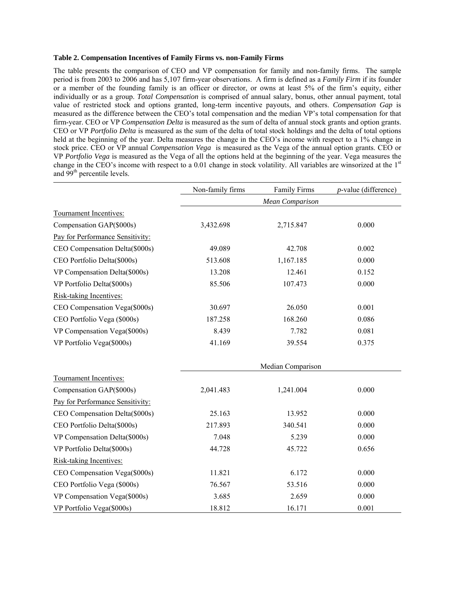#### **Table 2. Compensation Incentives of Family Firms vs. non-Family Firms**

The table presents the comparison of CEO and VP compensation for family and non-family firms. The sample period is from 2003 to 2006 and has 5,107 firm-year observations. A firm is defined as a *Family Firm* if its founder or a member of the founding family is an officer or director, or owns at least 5% of the firm's equity, either individually or as a group. *Total Compensation* is comprised of annual salary, bonus, other annual payment, total value of restricted stock and options granted, long-term incentive payouts, and others. *Compensation Gap* is measured as the difference between the CEO's total compensation and the median VP's total compensation for that firm-year. CEO or VP *Compensation Delta* is measured as the sum of delta of annual stock grants and option grants. CEO or VP *Portfolio Delta* is measured as the sum of the delta of total stock holdings and the delta of total options held at the beginning of the year. Delta measures the change in the CEO's income with respect to a 1% change in stock price. CEO or VP annual *Compensation Vega* is measured as the Vega of the annual option grants. CEO or VP *Portfolio Vega* is measured as the Vega of all the options held at the beginning of the year. Vega measures the change in the CEO's income with respect to a 0.01 change in stock volatility. All variables are winsorized at the  $1<sup>st</sup>$ and 99<sup>th</sup> percentile levels.

|                                  | Non-family firms | <b>Family Firms</b>    | $p$ -value (difference) |
|----------------------------------|------------------|------------------------|-------------------------|
|                                  |                  | <b>Mean Comparison</b> |                         |
| Tournament Incentives:           |                  |                        |                         |
| Compensation GAP(\$000s)         | 3,432.698        | 2,715.847              | 0.000                   |
| Pay for Performance Sensitivity: |                  |                        |                         |
| CEO Compensation Delta(\$000s)   | 49.089           | 42.708                 | 0.002                   |
| CEO Portfolio Delta(\$000s)      | 513.608          | 1,167.185              | 0.000                   |
| VP Compensation Delta(\$000s)    | 13.208           | 12.461                 | 0.152                   |
| VP Portfolio Delta(\$000s)       | 85.506           | 107.473                | 0.000                   |
| Risk-taking Incentives:          |                  |                        |                         |
| CEO Compensation Vega(\$000s)    | 30.697           | 26.050                 | 0.001                   |
| CEO Portfolio Vega (\$000s)      | 187.258          | 168.260                | 0.086                   |
| VP Compensation Vega(\$000s)     | 8.439            | 7.782                  | 0.081                   |
| VP Portfolio Vega(\$000s)        | 41.169           | 39.554                 | 0.375                   |
|                                  |                  | Median Comparison      |                         |
| Tournament Incentives:           |                  |                        |                         |
| Compensation GAP(\$000s)         | 2,041.483        | 1,241.004              | 0.000                   |
| Pay for Performance Sensitivity: |                  |                        |                         |
| CEO Compensation Delta(\$000s)   | 25.163           | 13.952                 | 0.000                   |
| CEO Portfolio Delta(\$000s)      | 217.893          | 340.541                | 0.000                   |
| VP Compensation Delta(\$000s)    | 7.048            | 5.239                  | 0.000                   |
| VP Portfolio Delta(\$000s)       | 44.728           | 45.722                 | 0.656                   |
| Risk-taking Incentives:          |                  |                        |                         |
| CEO Compensation Vega(\$000s)    | 11.821           | 6.172                  | 0.000                   |
| CEO Portfolio Vega (\$000s)      | 76.567           | 53.516                 | 0.000                   |
| VP Compensation Vega(\$000s)     | 3.685            | 2.659                  | 0.000                   |
| VP Portfolio Vega(\$000s)        | 18.812           | 16.171                 | 0.001                   |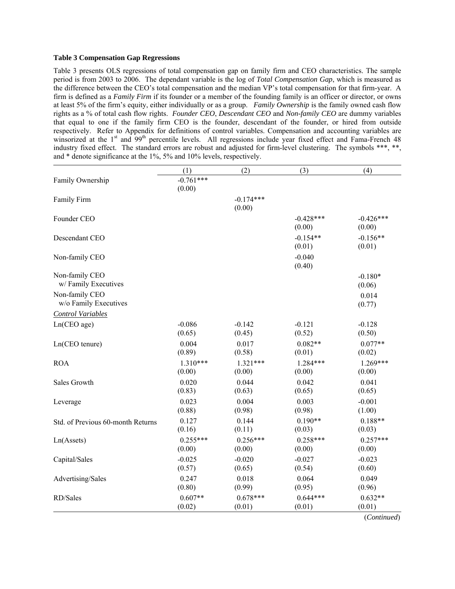#### **Table 3 Compensation Gap Regressions**

Table 3 presents OLS regressions of total compensation gap on family firm and CEO characteristics. The sample period is from 2003 to 2006. The dependant variable is the log of *Total Compensation Gap*, which is measured as the difference between the CEO's total compensation and the median VP's total compensation for that firm-year. A firm is defined as a *Family Firm* if its founder or a member of the founding family is an officer or director, or owns at least 5% of the firm's equity, either individually or as a group. *Family Ownership* is the family owned cash flow rights as a % of total cash flow rights. *Founder CEO*, *Descendant CEO* and *Non-family CEO* are dummy variables that equal to one if the family firm CEO is the founder, descendant of the founder, or hired from outside respectively. Refer to Appendix for definitions of control variables. Compensation and accounting variables are winsorized at the 1<sup>st</sup> and 99<sup>th</sup> percentile levels. All regressions include year fixed effect and Fama-French 48 industry fixed effect. The standard errors are robust and adjusted for firm-level clustering. The symbols \*\*\*, \*\*, and \* denote significance at the 1%, 5% and 10% levels, respectively.

|                                   | (1)         | (2)         | (3)         | (4)         |
|-----------------------------------|-------------|-------------|-------------|-------------|
| Family Ownership                  | $-0.761***$ |             |             |             |
|                                   | (0.00)      |             |             |             |
| Family Firm                       |             | $-0.174***$ |             |             |
|                                   |             | (0.00)      |             |             |
| Founder CEO                       |             |             | $-0.428***$ | $-0.426***$ |
|                                   |             |             | (0.00)      | (0.00)      |
| Descendant CEO                    |             |             | $-0.154**$  | $-0.156**$  |
|                                   |             |             | (0.01)      | (0.01)      |
| Non-family CEO                    |             |             | $-0.040$    |             |
|                                   |             |             | (0.40)      |             |
| Non-family CEO                    |             |             |             | $-0.180*$   |
| w/Family Executives               |             |             |             | (0.06)      |
| Non-family CEO                    |             |             |             | 0.014       |
| w/o Family Executives             |             |             |             | (0.77)      |
| <b>Control Variables</b>          |             |             |             |             |
| Ln(CEO age)                       | $-0.086$    | $-0.142$    | $-0.121$    | $-0.128$    |
|                                   | (0.65)      | (0.45)      | (0.52)      | (0.50)      |
| Ln(CEO tenure)                    | 0.004       | 0.017       | $0.082**$   | $0.077**$   |
|                                   | (0.89)      | (0.58)      | (0.01)      | (0.02)      |
| <b>ROA</b>                        | $1.310***$  | $1.321***$  | $1.284***$  | $1.269***$  |
|                                   | (0.00)      | (0.00)      | (0.00)      | (0.00)      |
| Sales Growth                      | 0.020       | 0.044       | 0.042       | 0.041       |
|                                   | (0.83)      | (0.63)      | (0.65)      | (0.65)      |
| Leverage                          | 0.023       | 0.004       | 0.003       | $-0.001$    |
|                                   | (0.88)      | (0.98)      | (0.98)      | (1.00)      |
| Std. of Previous 60-month Returns | 0.127       | 0.144       | $0.190**$   | $0.188**$   |
|                                   | (0.16)      | (0.11)      | (0.03)      | (0.03)      |
| Ln(A <sub>s</sub> )               | $0.255***$  | $0.256***$  | $0.258***$  | $0.257***$  |
|                                   | (0.00)      | (0.00)      | (0.00)      | (0.00)      |
| Capital/Sales                     | $-0.025$    | $-0.020$    | $-0.027$    | $-0.023$    |
|                                   | (0.57)      | (0.65)      | (0.54)      | (0.60)      |
| Advertising/Sales                 | 0.247       | 0.018       | 0.064       | 0.049       |
|                                   | (0.80)      | (0.99)      | (0.95)      | (0.96)      |
| RD/Sales                          | $0.607**$   | $0.678***$  | $0.644***$  | $0.632**$   |
|                                   | (0.02)      | (0.01)      | (0.01)      | (0.01)      |
|                                   |             |             |             | (Continued) |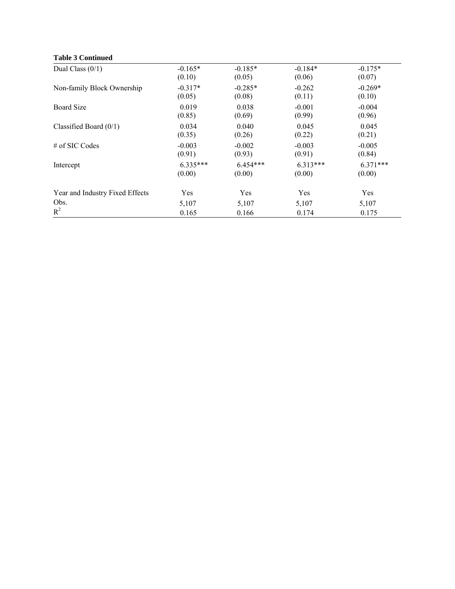# **Table 3 Continued**

| Dual Class $(0/1)$              | $-0.165*$  | $-0.185*$  | $-0.184*$  | $-0.175*$  |
|---------------------------------|------------|------------|------------|------------|
|                                 | (0.10)     | (0.05)     | (0.06)     | (0.07)     |
| Non-family Block Ownership      | $-0.317*$  | $-0.285*$  | $-0.262$   | $-0.269*$  |
|                                 | (0.05)     | (0.08)     | (0.11)     | (0.10)     |
| <b>Board Size</b>               | 0.019      | 0.038      | $-0.001$   | $-0.004$   |
|                                 | (0.85)     | (0.69)     | (0.99)     | (0.96)     |
| Classified Board $(0/1)$        | 0.034      | 0.040      | 0.045      | 0.045      |
|                                 | (0.35)     | (0.26)     | (0.22)     | (0.21)     |
| # of SIC Codes                  | $-0.003$   | $-0.002$   | $-0.003$   | $-0.005$   |
|                                 | (0.91)     | (0.93)     | (0.91)     | (0.84)     |
| Intercept                       | $6.335***$ | $6.454***$ | $6.313***$ | $6.371***$ |
|                                 | (0.00)     | (0.00)     | (0.00)     | (0.00)     |
| Year and Industry Fixed Effects | Yes        | Yes        | Yes        | Yes        |
| Obs.                            | 5,107      | 5,107      | 5,107      | 5,107      |
| $R^2$                           | 0.165      | 0.166      | 0.174      | 0.175      |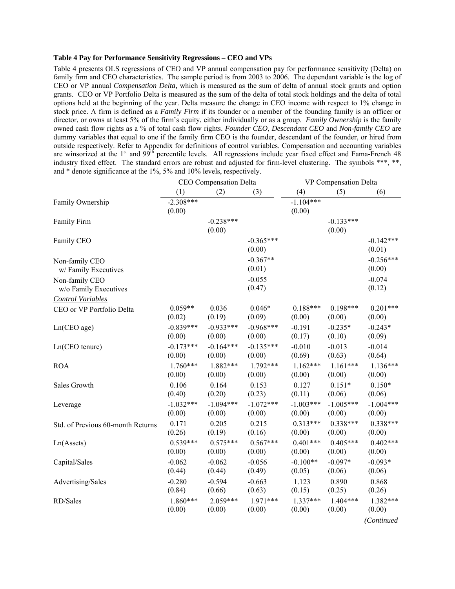### **Table 4 Pay for Performance Sensitivity Regressions – CEO and VPs**

Table 4 presents OLS regressions of CEO and VP annual compensation pay for performance sensitivity (Delta) on family firm and CEO characteristics. The sample period is from 2003 to 2006. The dependant variable is the log of CEO or VP annual *Compensation Delta,* which is measured as the sum of delta of annual stock grants and option grants. CEO or VP Portfolio Delta is measured as the sum of the delta of total stock holdings and the delta of total options held at the beginning of the year. Delta measure the change in CEO income with respect to 1% change in stock price. A firm is defined as a *Family Firm* if its founder or a member of the founding family is an officer or director, or owns at least 5% of the firm's equity, either individually or as a group. *Family Ownership* is the family owned cash flow rights as a % of total cash flow rights. *Founder CEO*, *Descendant CEO* and *Non-family CEO* are dummy variables that equal to one if the family firm CEO is the founder, descendant of the founder, or hired from outside respectively. Refer to Appendix for definitions of control variables. Compensation and accounting variables are winsorized at the 1<sup>st</sup> and 99<sup>th</sup> percentile levels. All regressions include year fixed effect and Fama-French 48 industry fixed effect. The standard errors are robust and adjusted for firm-level clustering. The symbols \*\*\*, \*\*, and \* denote significance at the 1%, 5% and 10% levels, respectively.

|                                   | CEO Compensation Delta |             |             | VP Compensation Delta |             |             |  |
|-----------------------------------|------------------------|-------------|-------------|-----------------------|-------------|-------------|--|
|                                   | (1)                    | (2)         | (3)         | (4)                   | (5)         | (6)         |  |
| Family Ownership                  | $-2.308***$            |             |             | $-1.104***$           |             |             |  |
|                                   | (0.00)                 |             |             | (0.00)                |             |             |  |
| Family Firm                       |                        | $-0.238***$ |             |                       | $-0.133***$ |             |  |
|                                   |                        | (0.00)      |             |                       | (0.00)      |             |  |
| Family CEO                        |                        |             | $-0.365***$ |                       |             | $-0.142***$ |  |
|                                   |                        |             | (0.00)      |                       |             | (0.01)      |  |
| Non-family CEO                    |                        |             | $-0.367**$  |                       |             | $-0.256***$ |  |
| w/Family Executives               |                        |             | (0.01)      |                       |             | (0.00)      |  |
| Non-family CEO                    |                        |             | $-0.055$    |                       |             | $-0.074$    |  |
| w/o Family Executives             |                        |             | (0.47)      |                       |             | (0.12)      |  |
| <b>Control Variables</b>          |                        |             |             |                       |             |             |  |
| CEO or VP Portfolio Delta         | $0.059**$              | 0.036       | $0.046*$    | $0.188***$            | $0.198***$  | $0.201***$  |  |
|                                   | (0.02)                 | (0.19)      | (0.09)      | (0.00)                | (0.00)      | (0.00)      |  |
| Ln(CEO age)                       | $-0.839***$            | $-0.933***$ | $-0.968***$ | $-0.191$              | $-0.235*$   | $-0.243*$   |  |
|                                   | (0.00)                 | (0.00)      | (0.00)      | (0.17)                | (0.10)      | (0.09)      |  |
| Ln(CEO tenure)                    | $-0.173***$            | $-0.164***$ | $-0.135***$ | $-0.010$              | $-0.013$    | $-0.014$    |  |
|                                   | (0.00)                 | (0.00)      | (0.00)      | (0.69)                | (0.63)      | (0.64)      |  |
| <b>ROA</b>                        | $1.760***$             | 1.882***    | $1.792***$  | $1.162***$            | $1.161***$  | $1.136***$  |  |
|                                   | (0.00)                 | (0.00)      | (0.00)      | (0.00)                | (0.00)      | (0.00)      |  |
| Sales Growth                      | 0.106                  | 0.164       | 0.153       | 0.127                 | $0.151*$    | $0.150*$    |  |
|                                   | (0.40)                 | (0.20)      | (0.23)      | (0.11)                | (0.06)      | (0.06)      |  |
| Leverage                          | $-1.032***$            | $-1.094***$ | $-1.072***$ | $-1.003***$           | $-1.005***$ | $-1.004***$ |  |
|                                   | (0.00)                 | (0.00)      | (0.00)      | (0.00)                | (0.00)      | (0.00)      |  |
| Std. of Previous 60-month Returns | 0.171                  | 0.205       | 0.215       | $0.313***$            | $0.338***$  | $0.338***$  |  |
|                                   | (0.26)                 | (0.19)      | (0.16)      | (0.00)                | (0.00)      | (0.00)      |  |
| Ln(A <sub>s</sub> )               | $0.539***$             | $0.575***$  | $0.567***$  | $0.401***$            | $0.405***$  | $0.402***$  |  |
|                                   | (0.00)                 | (0.00)      | (0.00)      | (0.00)                | (0.00)      | (0.00)      |  |
| Capital/Sales                     | $-0.062$               | $-0.062$    | $-0.056$    | $-0.100**$            | $-0.097*$   | $-0.093*$   |  |
|                                   | (0.44)                 | (0.44)      | (0.49)      | (0.05)                | (0.06)      | (0.06)      |  |
| Advertising/Sales                 | $-0.280$               | $-0.594$    | $-0.663$    | 1.123                 | 0.890       | 0.868       |  |
|                                   | (0.84)                 | (0.66)      | (0.63)      | (0.15)                | (0.25)      | (0.26)      |  |
| RD/Sales                          | $1.860***$             | $2.059***$  | 1.971***    | $1.337***$            | $1.404***$  | 1.382***    |  |
|                                   | (0.00)                 | (0.00)      | (0.00)      | (0.00)                | (0.00)      | (0.00)      |  |

*(Continued*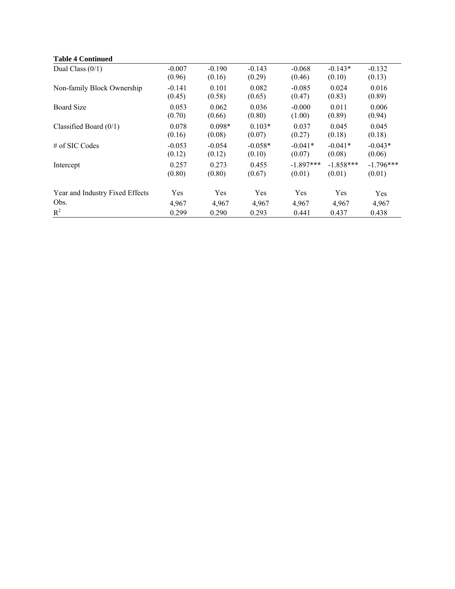# **Table 4 Continued**

| Dual Class $(0/1)$              | $-0.007$ | $-0.190$ | $-0.143$  | $-0.068$    | $-0.143*$   | $-0.132$    |
|---------------------------------|----------|----------|-----------|-------------|-------------|-------------|
|                                 | (0.96)   | (0.16)   | (0.29)    | (0.46)      | (0.10)      | (0.13)      |
| Non-family Block Ownership      | $-0.141$ | 0.101    | 0.082     | $-0.085$    | 0.024       | 0.016       |
|                                 | (0.45)   | (0.58)   | (0.65)    | (0.47)      | (0.83)      | (0.89)      |
| <b>Board Size</b>               | 0.053    | 0.062    | 0.036     | $-0.000$    | 0.011       | 0.006       |
|                                 | (0.70)   | (0.66)   | (0.80)    | (1.00)      | (0.89)      | (0.94)      |
| Classified Board $(0/1)$        | 0.078    | $0.098*$ | $0.103*$  | 0.037       | 0.045       | 0.045       |
|                                 | (0.16)   | (0.08)   | (0.07)    | (0.27)      | (0.18)      | (0.18)      |
| # of SIC Codes                  | $-0.053$ | $-0.054$ | $-0.058*$ | $-0.041*$   | $-0.041*$   | $-0.043*$   |
|                                 | (0.12)   | (0.12)   | (0.10)    | (0.07)      | (0.08)      | (0.06)      |
| Intercept                       | 0.257    | 0.273    | 0.455     | $-1.897***$ | $-1.858***$ | $-1.796***$ |
|                                 | (0.80)   | (0.80)   | (0.67)    | (0.01)      | (0.01)      | (0.01)      |
| Year and Industry Fixed Effects | Yes      | Yes      | Yes       | Yes         | Yes         | Yes         |
| Obs.                            | 4,967    | 4,967    | 4,967     | 4,967       | 4,967       | 4,967       |
| $R^2$                           | 0.299    | 0.290    | 0.293     | 0.441       | 0.437       | 0.438       |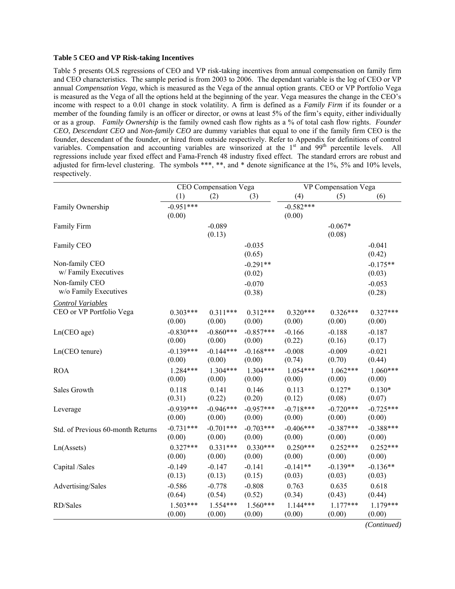#### **Table 5 CEO and VP Risk-taking Incentives**

Table 5 presents OLS regressions of CEO and VP risk-taking incentives from annual compensation on family firm and CEO characteristics. The sample period is from 2003 to 2006. The dependant variable is the log of CEO or VP annual *Compensation Vega,* which is measured as the Vega of the annual option grants. CEO or VP Portfolio Vega is measured as the Vega of all the options held at the beginning of the year. Vega measures the change in the CEO's income with respect to a 0.01 change in stock volatility. A firm is defined as a *Family Firm* if its founder or a member of the founding family is an officer or director, or owns at least 5% of the firm's equity, either individually or as a group. *Family Ownership* is the family owned cash flow rights as a % of total cash flow rights. *Founder CEO*, *Descendant CEO* and *Non-family CEO* are dummy variables that equal to one if the family firm CEO is the founder, descendant of the founder, or hired from outside respectively. Refer to Appendix for definitions of control variables. Compensation and accounting variables are winsorized at the 1<sup>st</sup> and 99<sup>th</sup> percentile levels. All regressions include year fixed effect and Fama-French 48 industry fixed effect. The standard errors are robust and adjusted for firm-level clustering. The symbols \*\*\*, \*\*, and \* denote significance at the 1%, 5% and 10% levels, respectively.

|                                   | CEO Compensation Vega |             |             | VP Compensation Vega |             |             |
|-----------------------------------|-----------------------|-------------|-------------|----------------------|-------------|-------------|
|                                   | (1)                   | (2)         | (3)         | (4)                  | (5)         | (6)         |
| Family Ownership                  | $-0.951***$           |             |             | $-0.582***$          |             |             |
|                                   | (0.00)                |             |             | (0.00)               |             |             |
| Family Firm                       |                       | $-0.089$    |             |                      | $-0.067*$   |             |
|                                   |                       | (0.13)      |             |                      | (0.08)      |             |
| Family CEO                        |                       |             | $-0.035$    |                      |             | $-0.041$    |
|                                   |                       |             | (0.65)      |                      |             | (0.42)      |
| Non-family CEO                    |                       |             | $-0.291**$  |                      |             | $-0.175**$  |
| w/Family Executives               |                       |             | (0.02)      |                      |             | (0.03)      |
| Non-family CEO                    |                       |             | $-0.070$    |                      |             | $-0.053$    |
| w/o Family Executives             |                       |             | (0.38)      |                      |             | (0.28)      |
| <b>Control Variables</b>          |                       |             |             |                      |             |             |
| CEO or VP Portfolio Vega          | $0.303***$            | $0.311***$  | $0.312***$  | $0.320***$           | $0.326***$  | $0.327***$  |
|                                   | (0.00)                | (0.00)      | (0.00)      | (0.00)               | (0.00)      | (0.00)      |
| Ln(CEO age)                       | $-0.830***$           | $-0.860***$ | $-0.857***$ | $-0.166$             | $-0.188$    | $-0.187$    |
|                                   | (0.00)                | (0.00)      | (0.00)      | (0.22)               | (0.16)      | (0.17)      |
| Ln(CEO tenure)                    | $-0.139***$           | $-0.144***$ | $-0.168***$ | $-0.008$             | $-0.009$    | $-0.021$    |
|                                   | (0.00)                | (0.00)      | (0.00)      | (0.74)               | (0.70)      | (0.44)      |
| <b>ROA</b>                        | $1.284***$            | $1.304***$  | $1.304***$  | $1.054***$           | $1.062***$  | $1.060***$  |
|                                   | (0.00)                | (0.00)      | (0.00)      | (0.00)               | (0.00)      | (0.00)      |
| Sales Growth                      | 0.118                 | 0.141       | 0.146       | 0.113                | $0.127*$    | $0.130*$    |
|                                   | (0.31)                | (0.22)      | (0.20)      | (0.12)               | (0.08)      | (0.07)      |
| Leverage                          | $-0.939***$           | $-0.946***$ | $-0.957***$ | $-0.718***$          | $-0.720***$ | $-0.725***$ |
|                                   | (0.00)                | (0.00)      | (0.00)      | (0.00)               | (0.00)      | (0.00)      |
| Std. of Previous 60-month Returns | $-0.731***$           | $-0.701***$ | $-0.703***$ | $-0.406***$          | $-0.387***$ | $-0.388***$ |
|                                   | (0.00)                | (0.00)      | (0.00)      | (0.00)               | (0.00)      | (0.00)      |
| Ln(A <sub>s</sub> )               | $0.327***$            | $0.331***$  | $0.330***$  | $0.250***$           | $0.252***$  | $0.252***$  |
|                                   | (0.00)                | (0.00)      | (0.00)      | (0.00)               | (0.00)      | (0.00)      |
| Capital /Sales                    | $-0.149$              | $-0.147$    | $-0.141$    | $-0.141**$           | $-0.139**$  | $-0.136**$  |
|                                   | (0.13)                | (0.13)      | (0.15)      | (0.03)               | (0.03)      | (0.03)      |
| Advertising/Sales                 | $-0.586$              | $-0.778$    | $-0.808$    | 0.763                | 0.635       | 0.618       |
|                                   | (0.64)                | (0.54)      | (0.52)      | (0.34)               | (0.43)      | (0.44)      |
| RD/Sales                          | $1.503***$            | $1.554***$  | $1.560***$  | $1.144***$           | $1.177***$  | $1.179***$  |
|                                   | (0.00)                | (0.00)      | (0.00)      | (0.00)               | (0.00)      | (0.00)      |

*(Continued)*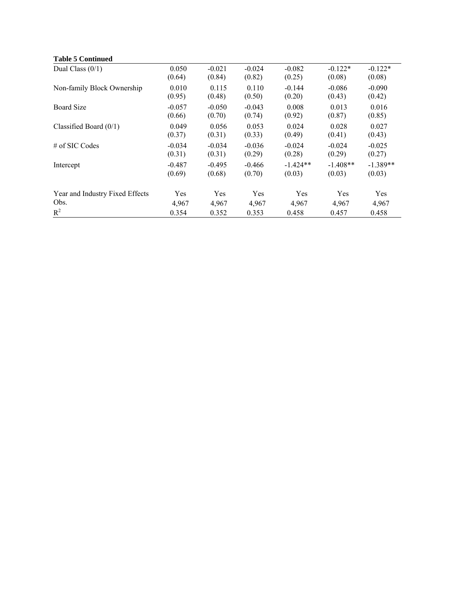| <b>Table 5 Continued</b> |
|--------------------------|
|                          |

| Dual Class $(0/1)$              | 0.050              | $-0.021$           | $-0.024$           | $-0.082$             | $-0.122*$            | $-0.122*$            |
|---------------------------------|--------------------|--------------------|--------------------|----------------------|----------------------|----------------------|
|                                 | (0.64)             | (0.84)             | (0.82)             | (0.25)               | (0.08)               | (0.08)               |
| Non-family Block Ownership      | 0.010<br>(0.95)    | 0.115<br>(0.48)    | 0.110<br>(0.50)    | $-0.144$<br>(0.20)   | $-0.086$<br>(0.43)   | $-0.090$<br>(0.42)   |
| <b>Board Size</b>               | $-0.057$           | $-0.050$           | $-0.043$           | 0.008                | 0.013                | 0.016                |
|                                 | (0.66)             | (0.70)             | (0.74)             | (0.92)               | (0.87)               | (0.85)               |
| Classified Board $(0/1)$        | 0.049<br>(0.37)    | 0.056<br>(0.31)    | 0.053<br>(0.33)    | 0.024<br>(0.49)      | 0.028<br>(0.41)      | 0.027<br>(0.43)      |
| # of SIC Codes                  | $-0.034$<br>(0.31) | $-0.034$<br>(0.31) | $-0.036$<br>(0.29) | $-0.024$<br>(0.28)   | $-0.024$<br>(0.29)   | $-0.025$<br>(0.27)   |
| Intercept                       | $-0.487$<br>(0.69) | $-0.495$<br>(0.68) | $-0.466$<br>(0.70) | $-1.424**$<br>(0.03) | $-1.408**$<br>(0.03) | $-1.389**$<br>(0.03) |
| Year and Industry Fixed Effects | Yes                | Yes                | Yes                | Yes                  | Yes                  | Yes                  |
| Obs.                            | 4,967              | 4,967              | 4,967              | 4,967                | 4,967                | 4,967                |
| $R^2$                           | 0.354              | 0.352              | 0.353              | 0.458                | 0.457                | 0.458                |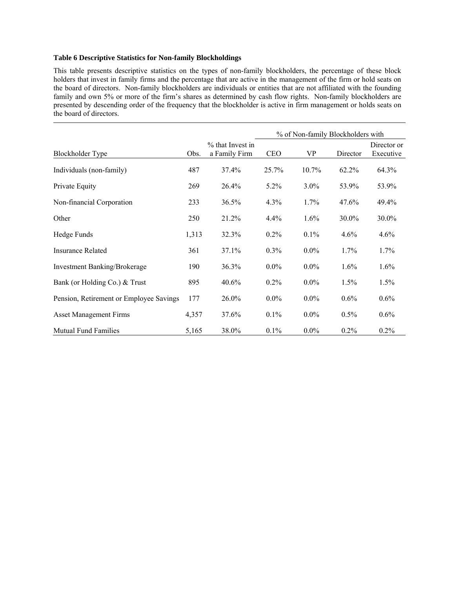# **Table 6 Descriptive Statistics for Non-family Blockholdings**

This table presents descriptive statistics on the types of non-family blockholders, the percentage of these block holders that invest in family firms and the percentage that are active in the management of the firm or hold seats on the board of directors. Non-family blockholders are individuals or entities that are not affiliated with the founding family and own 5% or more of the firm's shares as determined by cash flow rights. Non-family blockholders are presented by descending order of the frequency that the blockholder is active in firm management or holds seats on the board of directors.

|                                         |       |                                   | % of Non-family Blockholders with |          |          |                          |  |
|-----------------------------------------|-------|-----------------------------------|-----------------------------------|----------|----------|--------------------------|--|
| Blockholder Type                        | Obs.  | % that Invest in<br>a Family Firm | <b>CEO</b>                        | VP       | Director | Director or<br>Executive |  |
| Individuals (non-family)                | 487   | 37.4%                             | 25.7%                             | $10.7\%$ | 62.2%    | 64.3%                    |  |
| Private Equity                          | 269   | 26.4%                             | $5.2\%$                           | $3.0\%$  | 53.9%    | 53.9%                    |  |
| Non-financial Corporation               | 233   | 36.5%                             | $4.3\%$                           | 1.7%     | 47.6%    | 49.4%                    |  |
| Other                                   | 250   | 21.2%                             | 4.4%                              | 1.6%     | 30.0%    | 30.0%                    |  |
| Hedge Funds                             | 1,313 | 32.3%                             | $0.2\%$                           | 0.1%     | 4.6%     | 4.6%                     |  |
| <b>Insurance Related</b>                | 361   | 37.1%                             | 0.3%                              | $0.0\%$  | 1.7%     | $1.7\%$                  |  |
| <b>Investment Banking/Brokerage</b>     | 190   | 36.3%                             | $0.0\%$                           | $0.0\%$  | $1.6\%$  | $1.6\%$                  |  |
| Bank (or Holding Co.) & Trust           | 895   | 40.6%                             | 0.2%                              | $0.0\%$  | 1.5%     | 1.5%                     |  |
| Pension, Retirement or Employee Savings | 177   | 26.0%                             | $0.0\%$                           | $0.0\%$  | 0.6%     | 0.6%                     |  |
| <b>Asset Management Firms</b>           | 4,357 | 37.6%                             | $0.1\%$                           | $0.0\%$  | $0.5\%$  | $0.6\%$                  |  |
| <b>Mutual Fund Families</b>             | 5,165 | 38.0%                             | 0.1%                              | $0.0\%$  | 0.2%     | 0.2%                     |  |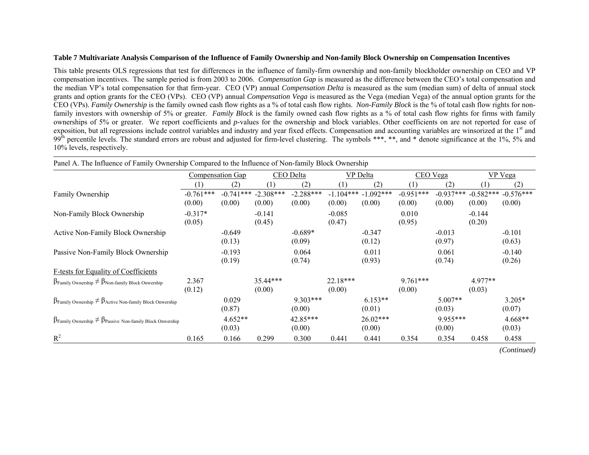#### **Table 7 Multivariate Analysis Comparison of the Influence of Family Ownership and Non-family Block Ownership on Compensation Incentives**

This table presents OLS regressions that test for differences in the influence of family-firm ownership and non-family blockholder ownership on CEO and VP compensation incentives. The sample period is from 2003 to 2006. *Compensation Gap* is measured as the difference between the CEO's total compensation and the median VP's total compensation for that firm-year. CEO (VP) annual *Compensation Delta* is measured as the sum (median sum) of delta of annual stock grants and option grants for the CEO (VPs). CEO (VP) annual *Compensation Vega* is measured as the Vega (median Vega) of the annual option grants for the CEO (VPs). *Family Ownership* is the family owned cash flow rights as a % of total cash flow rights. *Non-Family Block* is the % of total cash flow rights for nonfamily investors with ownership of 5% or greater. *Family Block* is the family owned cash flow rights as a % of total cash flow rights for firms with family ownerships of 5% or greater. We report coefficients and *p*-values for the ownership and block variables. Other coefficients on are not reported for ease of exposition, but all regressions include control variables and industry and year fixed effects. Compensation and accounting variables are winsorized at the 1<sup>st</sup> and 99<sup>th</sup> percentile levels. The standard errors are robust and adjusted for firm-level clustering. The symbols \*\*\*, \*\*, and \* denote significance at the 1%, 5% and 10% levels, respectively.

| Panel A. The Influence of Family Ownership Compared to the Influence of Non-family Block Ownership |                       |                         |                                   |                       |                       |                       |                       |                       |                       |                       |
|----------------------------------------------------------------------------------------------------|-----------------------|-------------------------|-----------------------------------|-----------------------|-----------------------|-----------------------|-----------------------|-----------------------|-----------------------|-----------------------|
|                                                                                                    |                       | <b>Compensation Gap</b> |                                   | CEO Delta             |                       | <b>VP</b> Delta       |                       | CEO Vega              |                       | <b>VP</b> Vega        |
|                                                                                                    | (1)                   | (2)                     | (1)                               | (2)                   | (1)                   | (2)                   | (1)                   | (2)                   | (1)                   | (2)                   |
| Family Ownership                                                                                   | $-0.761***$<br>(0.00) | (0.00)                  | $-0.741***$ $-2.308***$<br>(0.00) | $-2.288***$<br>(0.00) | $-1.104***$<br>(0.00) | $-1.092***$<br>(0.00) | $-0.951***$<br>(0.00) | $-0.937***$<br>(0.00) | $-0.582***$<br>(0.00) | $-0.576***$<br>(0.00) |
| Non-Family Block Ownership                                                                         | $-0.317*$<br>(0.05)   |                         | $-0.141$<br>(0.45)                |                       | $-0.085$<br>(0.47)    |                       | 0.010<br>(0.95)       |                       | $-0.144$<br>(0.20)    |                       |
| Active Non-Family Block Ownership                                                                  |                       | $-0.649$<br>(0.13)      |                                   | $-0.689*$<br>(0.09)   |                       | $-0.347$<br>(0.12)    |                       | $-0.013$<br>(0.97)    |                       | $-0.101$<br>(0.63)    |
| Passive Non-Family Block Ownership                                                                 |                       | $-0.193$<br>(0.19)      |                                   | 0.064<br>(0.74)       |                       | 0.011<br>(0.93)       |                       | 0.061<br>(0.74)       |                       | $-0.140$<br>(0.26)    |
| F-tests for Equality of Coefficients                                                               |                       |                         |                                   |                       |                       |                       |                       |                       |                       |                       |
| $\beta$ Family Ownership $\neq \beta$ Non-family Block Onwership                                   | 2.367<br>(0.12)       |                         | $35.44***$<br>(0.00)              |                       | $22.18***$<br>(0.00)  |                       | $9.761***$<br>(0.00)  |                       | $4.977**$<br>(0.03)   |                       |
| $\beta_{\text{Family Ownership}} \neq \beta_{\text{Active Non-family Block Onwership}}$            |                       | 0.029<br>(0.87)         |                                   | $9.303***$<br>(0.00)  |                       | $6.153**$<br>(0.01)   |                       | $5.007**$<br>(0.03)   |                       | $3.205*$<br>(0.07)    |
| $\beta_{\text{Family Ownership}} \neq \beta_{\text{Passive Non-family Block Onvership}}$           |                       | $4.652**$<br>(0.03)     |                                   | 42.85***<br>(0.00)    |                       | $26.02***$<br>(0.00)  |                       | $9.955***$<br>(0.00)  |                       | $4.668**$<br>(0.03)   |
| $R^2$                                                                                              | 0.165                 | 0.166                   | 0.299                             | 0.300                 | 0.441                 | 0.441                 | 0.354                 | 0.354                 | 0.458                 | 0.458                 |

*(Continued)*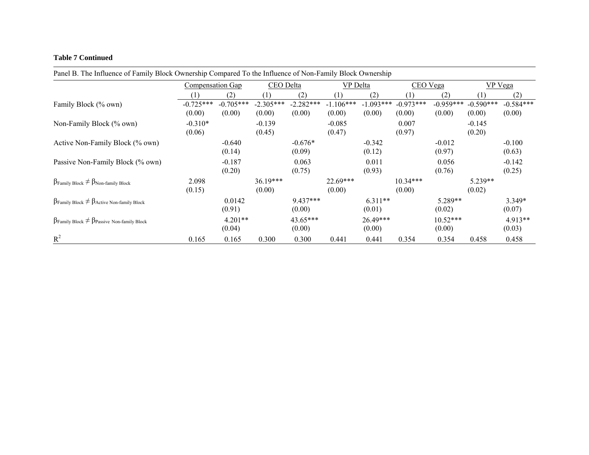#### **Table 7 Continued**

| T and D. The immedie of Family Diock $\circ$ whereing compared TV are immedied of FWH Family Diock $\circ$ whereing |                       |                       |                       |                       |                       |                       |                       |                       |                       |                       |
|---------------------------------------------------------------------------------------------------------------------|-----------------------|-----------------------|-----------------------|-----------------------|-----------------------|-----------------------|-----------------------|-----------------------|-----------------------|-----------------------|
|                                                                                                                     | Compensation Gap      |                       | CEO Delta             |                       | VP Delta              |                       | CEO Vega              |                       | VP Vega               |                       |
|                                                                                                                     |                       | (2)                   | (1)                   | (2)                   |                       | (2)                   |                       | (2)                   | $\perp$               | (2)                   |
| Family Block (% own)                                                                                                | $-0.725***$<br>(0.00) | $-0.705***$<br>(0.00) | $-2.305***$<br>(0.00) | $-2.282***$<br>(0.00) | $-1.106***$<br>(0.00) | $-1.093***$<br>(0.00) | $-0.973***$<br>(0.00) | $-0.959***$<br>(0.00) | $-0.590***$<br>(0.00) | $-0.584***$<br>(0.00) |
| Non-Family Block (% own)                                                                                            | $-0.310*$<br>(0.06)   |                       | $-0.139$<br>(0.45)    |                       | $-0.085$<br>(0.47)    |                       | 0.007<br>(0.97)       |                       | $-0.145$<br>(0.20)    |                       |
| Active Non-Family Block (% own)                                                                                     |                       | $-0.640$<br>(0.14)    |                       | $-0.676*$<br>(0.09)   |                       | $-0.342$<br>(0.12)    |                       | $-0.012$<br>(0.97)    |                       | $-0.100$<br>(0.63)    |
| Passive Non-Family Block (% own)                                                                                    |                       | $-0.187$<br>(0.20)    |                       | 0.063<br>(0.75)       |                       | 0.011<br>(0.93)       |                       | 0.056<br>(0.76)       |                       | $-0.142$<br>(0.25)    |
| $\beta_{\text{Family Block}} \neq \beta_{\text{Non-family Block}}$                                                  | 2.098<br>(0.15)       |                       | $36.19***$<br>(0.00)  |                       | 22.69***<br>(0.00)    |                       | $10.34***$<br>(0.00)  |                       | $5.239**$<br>(0.02)   |                       |
| $\beta$ Family Block $\neq \beta$ Active Non-family Block                                                           |                       | 0.0142<br>(0.91)      |                       | $9.437***$<br>(0.00)  |                       | $6.311**$<br>(0.01)   |                       | 5.289**<br>(0.02)     |                       | $3.349*$<br>(0.07)    |
| $\beta_{\text{Family Block}} \neq \beta_{\text{Passive Non-family Block}}$                                          |                       | $4.201**$<br>(0.04)   |                       | 43.65***<br>(0.00)    |                       | 26.49***<br>(0.00)    |                       | $10.52***$<br>(0.00)  |                       | $4.913**$<br>(0.03)   |
| $R^2$                                                                                                               | 0.165                 | 0.165                 | 0.300                 | 0.300                 | 0.441                 | 0.441                 | 0.354                 | 0.354                 | 0.458                 | 0.458                 |

Panel B. The Influence of Family Block Ownership Compared To the Influence of Non-Family Block Ownership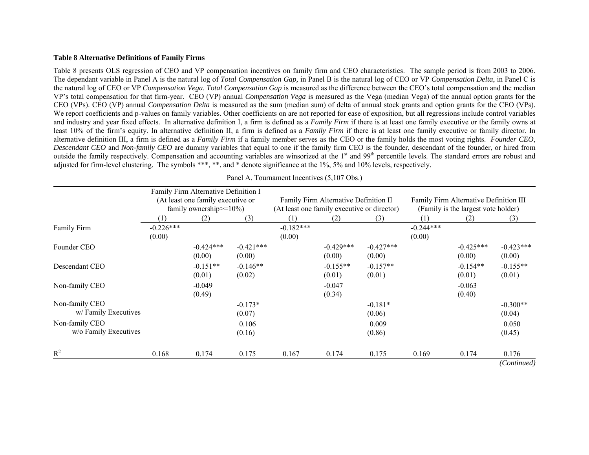#### **Table 8 Alternative Definitions of Family Firms**

Table 8 presents OLS regression of CEO and VP compensation incentives on family firm and CEO characteristics. The sample period is from 2003 to 2006. The dependant variable in Panel A is the natural log of *Total Compensation Gap,* in Panel B is the natural log of CEO or VP *Compensation Delta*, in Panel C is the natural log of CEO or VP *Compensation Vega*. *Total Compensation Gap* is measured as the difference between the CEO's total compensation and the median VP's total compensation for that firm-year. CEO (VP) annual *Compensation Vega* is measured as the Vega (median Vega) of the annual option grants for the CEO (VPs). CEO (VP) annual *Compensation Delta* is measured as the sum (median sum) of delta of annual stock grants and option grants for the CEO (VPs). We report coefficients and p-values on family variables. Other coefficients on are not reported for ease of exposition, but all regressions include control variables and industry and year fixed effects. In alternative definition I, a firm is defined as a *Family Firm* if there is at least one family executive or the family owns at least 10% of the firm's equity. In alternative definition II, a firm is defined as a *Family Firm* if there is at least one family executive or family director. In alternative definition III, a firm is defined as a *Family Firm* if a family member serves as the CEO or the family holds the most voting rights. *Founder CEO*, *Descendant CEO* and *Non-family CEO* are dummy variables that equal to one if the family firm CEO is the founder, descendant of the founder, or hired from outside the family respectively. Compensation and accounting variables are winsorized at the 1<sup>st</sup> and 99<sup>th</sup> percentile levels. The standard errors are robust and adjusted for firm-level clustering. The symbols \*\*\*, \*\*, and \* denote significance at the 1%, 5% and 10% levels, respectively.

|                                         |                       | Family Firm Alternative Definition I<br>(At least one family executive or<br>family ownership $\geq$ =10%) |                       |                       | Family Firm Alternative Definition II<br>(At least one family executive or director) |                       | Family Firm Alternative Definition III<br>(Family is the largest vote holder) |                       |                       |  |
|-----------------------------------------|-----------------------|------------------------------------------------------------------------------------------------------------|-----------------------|-----------------------|--------------------------------------------------------------------------------------|-----------------------|-------------------------------------------------------------------------------|-----------------------|-----------------------|--|
|                                         | (1)                   | (2)                                                                                                        | (3)                   | (1)                   | (2)                                                                                  | (3)                   | (1)                                                                           | (2)                   | (3)                   |  |
| Family Firm                             | $-0.226***$<br>(0.00) |                                                                                                            |                       | $-0.182***$<br>(0.00) |                                                                                      |                       | $-0.244***$<br>(0.00)                                                         |                       |                       |  |
| Founder CEO                             |                       | $-0.424***$<br>(0.00)                                                                                      | $-0.421***$<br>(0.00) |                       | $-0.429***$<br>(0.00)                                                                | $-0.427***$<br>(0.00) |                                                                               | $-0.425***$<br>(0.00) | $-0.423***$<br>(0.00) |  |
| Descendant CEO                          |                       | $-0.151**$<br>(0.01)                                                                                       | $-0.146**$<br>(0.02)  |                       | $-0.155**$<br>(0.01)                                                                 | $-0.157**$<br>(0.01)  |                                                                               | $-0.154**$<br>(0.01)  | $-0.155**$<br>(0.01)  |  |
| Non-family CEO                          |                       | $-0.049$<br>(0.49)                                                                                         |                       |                       | $-0.047$<br>(0.34)                                                                   |                       |                                                                               | $-0.063$<br>(0.40)    |                       |  |
| Non-family CEO<br>w/Family Executives   |                       |                                                                                                            | $-0.173*$<br>(0.07)   |                       |                                                                                      | $-0.181*$<br>(0.06)   |                                                                               |                       | $-0.300**$<br>(0.04)  |  |
| Non-family CEO<br>w/o Family Executives |                       |                                                                                                            | 0.106<br>(0.16)       |                       |                                                                                      | 0.009<br>(0.86)       |                                                                               |                       | 0.050<br>(0.45)       |  |
| $R^2$                                   | 0.168                 | 0.174                                                                                                      | 0.175                 | 0.167                 | 0.174                                                                                | 0.175                 | 0.169                                                                         | 0.174                 | 0.176                 |  |
|                                         |                       |                                                                                                            |                       |                       |                                                                                      |                       |                                                                               |                       | (Continued)           |  |

Panel A. Tournament Incentives (5,107 Obs.)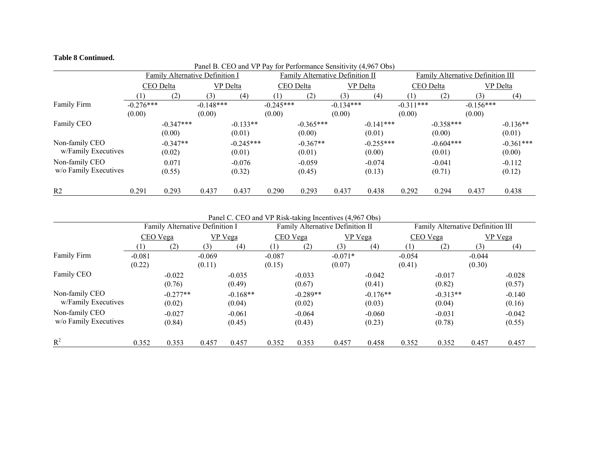#### **Table 8 Continued.**

|                                         |                       |                                 | Panel B. CEO and VP Pay for Performance Sensitivity (4,967 Obs) |                       |                       |                       |                                  |                       |                       |                                   |                       |                       |  |
|-----------------------------------------|-----------------------|---------------------------------|-----------------------------------------------------------------|-----------------------|-----------------------|-----------------------|----------------------------------|-----------------------|-----------------------|-----------------------------------|-----------------------|-----------------------|--|
|                                         |                       | Family Alternative Definition I |                                                                 |                       |                       |                       | Family Alternative Definition II |                       |                       | Family Alternative Definition III |                       |                       |  |
|                                         |                       | CEO Delta                       | VP Delta                                                        |                       | CEO Delta             |                       | VP Delta                         |                       | CEO Delta             |                                   | VP Delta              |                       |  |
|                                         |                       | (2)                             | (3)                                                             | (4)                   |                       | (2)                   | (3)                              | (4)                   | (1)                   | (2)                               | (3)                   | (4)                   |  |
| Family Firm                             | $-0.276***$<br>(0.00) |                                 | $-0.148***$<br>(0.00)                                           |                       | $-0.245***$<br>(0.00) |                       | $-0.134***$<br>(0.00)            |                       | $-0.311***$<br>(0.00) |                                   | $-0.156***$<br>(0.00) |                       |  |
| Family CEO                              |                       | $-0.347***$<br>(0.00)           |                                                                 | $-0.133**$<br>(0.01)  |                       | $-0.365***$<br>(0.00) |                                  | $-0.141***$<br>(0.01) |                       | $-0.358***$<br>(0.00)             |                       | $-0.136**$<br>(0.01)  |  |
| Non-family CEO<br>w/Family Executives   |                       | $-0.347**$<br>(0.02)            |                                                                 | $-0.245***$<br>(0.01) |                       | $-0.367**$<br>(0.01)  |                                  | $-0.255***$<br>(0.00) |                       | $-0.604***$<br>(0.01)             |                       | $-0.361***$<br>(0.00) |  |
| Non-family CEO<br>w/o Family Executives |                       | 0.071<br>(0.55)                 |                                                                 | $-0.076$<br>(0.32)    |                       | $-0.059$<br>(0.45)    |                                  | $-0.074$<br>(0.13)    |                       | $-0.041$<br>(0.71)                |                       | $-0.112$<br>(0.12)    |  |
| R <sub>2</sub>                          | 0.291                 | 0.293                           | 0.437                                                           | 0.437                 | 0.290                 | 0.293                 | 0.437                            | 0.438                 | 0.292                 | 0.294                             | 0.437                 | 0.438                 |  |

Panel C. CEO and VP Risk-taking Incentives (4,967 Obs)

|                                         |                    | Family Alternative Definition I |                    |                      |                    | Family Alternative Definition II |                     |                      | Family Alternative Definition III |                      |                    |                    |
|-----------------------------------------|--------------------|---------------------------------|--------------------|----------------------|--------------------|----------------------------------|---------------------|----------------------|-----------------------------------|----------------------|--------------------|--------------------|
|                                         |                    | CEO Vega                        |                    | VP Vega              |                    | CEO Vega                         |                     | VP Vega              |                                   | CEO Vega             | <b>VP</b> Vega     |                    |
|                                         |                    | (2)                             | (3)                | (4)                  | ו ד                | (2)                              | (3)                 | (4)                  |                                   | (2)                  | (3)                | (4)                |
| Family Firm                             | $-0.081$<br>(0.22) |                                 | $-0.069$<br>(0.11) |                      | $-0.087$<br>(0.15) |                                  | $-0.071*$<br>(0.07) |                      | $-0.054$<br>(0.41)                |                      | $-0.044$<br>(0.30) |                    |
| Family CEO                              |                    | $-0.022$<br>(0.76)              |                    | $-0.035$<br>(0.49)   |                    | $-0.033$<br>(0.67)               |                     | $-0.042$<br>(0.41)   |                                   | $-0.017$<br>(0.82)   |                    | $-0.028$<br>(0.57) |
| Non-family CEO<br>w/Family Executives   |                    | $-0.277**$<br>(0.02)            |                    | $-0.168**$<br>(0.04) |                    | $-0.289**$<br>(0.02)             |                     | $-0.176**$<br>(0.03) |                                   | $-0.313**$<br>(0.04) |                    | $-0.140$<br>(0.16) |
| Non-family CEO<br>w/o Family Executives |                    | $-0.027$<br>(0.84)              |                    | $-0.061$<br>(0.45)   |                    | $-0.064$<br>(0.43)               |                     | $-0.060$<br>(0.23)   |                                   | $-0.031$<br>(0.78)   |                    | $-0.042$<br>(0.55) |
| $R^2$                                   | 0.352              | 0.353                           | 0.457              | 0.457                | 0.352              | 0.353                            | 0.457               | 0.458                | 0.352                             | 0.352                | 0.457              | 0.457              |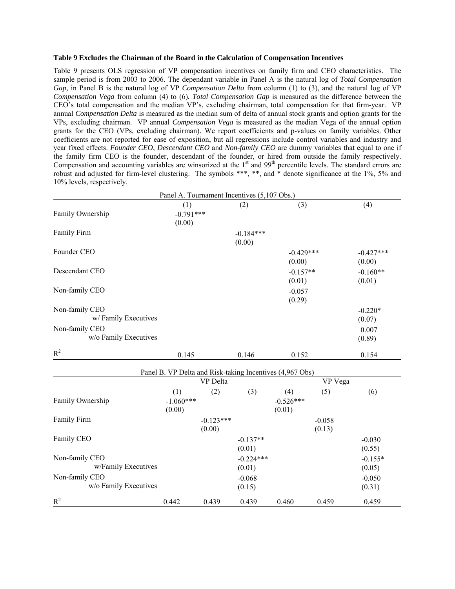### **Table 9 Excludes the Chairman of the Board in the Calculation of Compensation Incentives**

Table 9 presents OLS regression of VP compensation incentives on family firm and CEO characteristics. The sample period is from 2003 to 2006. The dependant variable in Panel A is the natural log of *Total Compensation Gap,* in Panel B is the natural log of VP *Compensation Delta* from column (1) to (3), and the natural log of VP *Compensation Vega* from column (4) to (6)*. Total Compensation Gap* is measured as the difference between the CEO's total compensation and the median VP's, excluding chairman, total compensation for that firm-year. VP annual *Compensation Delta* is measured as the median sum of delta of annual stock grants and option grants for the VPs, excluding chairman. VP annual *Compensation Vega* is measured as the median Vega of the annual option grants for the CEO (VPs, excluding chairman). We report coefficients and p-values on family variables. Other coefficients are not reported for ease of exposition, but all regressions include control variables and industry and year fixed effects. *Founder CEO*, *Descendant CEO* and *Non-family CEO* are dummy variables that equal to one if the family firm CEO is the founder, descendant of the founder, or hired from outside the family respectively. Compensation and accounting variables are winsorized at the 1<sup>st</sup> and 99<sup>th</sup> percentile levels. The standard errors are robust and adjusted for firm-level clustering. The symbols \*\*\*, \*\*, and \* denote significance at the 1%, 5% and 10% levels, respectively.

|                       | Panel A. Tournament Incentives (5,107 Obs.) |                       |             |                                                          |                    |             |
|-----------------------|---------------------------------------------|-----------------------|-------------|----------------------------------------------------------|--------------------|-------------|
|                       | (1)                                         |                       | (2)         | (3)                                                      |                    | (4)         |
| Family Ownership      | $-0.791***$                                 |                       |             |                                                          |                    |             |
|                       | (0.00)                                      |                       |             |                                                          |                    |             |
| Family Firm           |                                             |                       | $-0.184***$ |                                                          |                    |             |
|                       |                                             |                       | (0.00)      |                                                          |                    |             |
| Founder CEO           |                                             |                       |             | $-0.429***$                                              |                    | $-0.427***$ |
|                       |                                             |                       |             | (0.00)                                                   |                    | (0.00)      |
| Descendant CEO        |                                             |                       |             | $-0.157**$                                               |                    | $-0.160**$  |
|                       |                                             |                       |             | (0.01)                                                   |                    | (0.01)      |
| Non-family CEO        |                                             |                       |             | $-0.057$                                                 |                    |             |
|                       |                                             |                       |             | (0.29)                                                   |                    |             |
| Non-family CEO        |                                             |                       |             |                                                          |                    | $-0.220*$   |
| w/Family Executives   |                                             |                       |             |                                                          |                    | (0.07)      |
| Non-family CEO        |                                             |                       |             |                                                          |                    | 0.007       |
| w/o Family Executives |                                             |                       |             |                                                          |                    | (0.89)      |
|                       |                                             |                       |             |                                                          |                    |             |
| $R^2$                 | 0.145                                       |                       | 0.146       | 0.152                                                    |                    | 0.154       |
|                       |                                             |                       |             |                                                          |                    |             |
|                       |                                             | VP Delta              |             | Panel B. VP Delta and Risk-taking Incentives (4,967 Obs) | VP Vega            |             |
|                       |                                             |                       |             |                                                          |                    |             |
| Family Ownership      | (1)<br>$-1.060***$                          | (2)                   | (3)         | (4)<br>$-0.526***$                                       | (5)                | (6)         |
|                       | (0.00)                                      |                       |             | (0.01)                                                   |                    |             |
| Family Firm           |                                             |                       |             |                                                          |                    |             |
|                       |                                             | $-0.123***$<br>(0.00) |             |                                                          | $-0.058$<br>(0.13) |             |
|                       |                                             |                       |             |                                                          |                    |             |
| Family CEO            |                                             |                       | $-0.137**$  |                                                          |                    | $-0.030$    |
|                       |                                             |                       | (0.01)      |                                                          |                    | (0.55)      |
| Non-family CEO        |                                             |                       | $-0.224***$ |                                                          |                    | $-0.155*$   |
| w/Family Executives   |                                             |                       | (0.01)      |                                                          |                    | (0.05)      |
| Non-family CEO        |                                             |                       | $-0.068$    |                                                          |                    | $-0.050$    |
| w/o Family Executives |                                             |                       | (0.15)      |                                                          |                    | (0.31)      |
| $R^2$                 | 0.442                                       | 0.439                 | 0.439       | 0.460                                                    | 0.459              | 0.459       |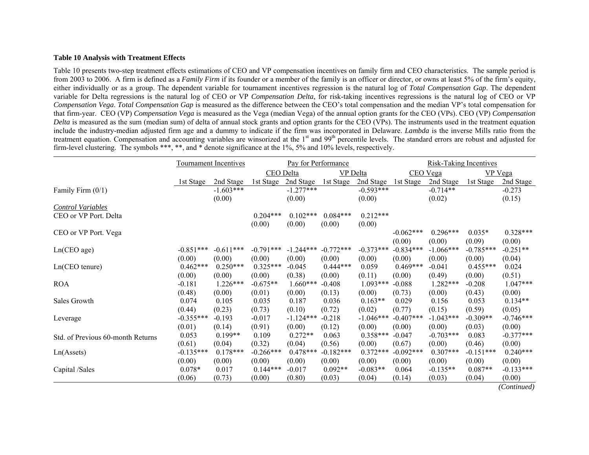#### **Table 10 Analysis with Treatment Effects**

Table 10 presents two-step treatment effects estimations of CEO and VP compensation incentives on family firm and CEO characteristics. The sample period is from 2003 to 2006. A firm is defined as a *Family Firm* if its founder or a member of the family is an officer or director, or owns at least 5% of the firm's equity, either individually or as a group. The dependent variable for tournament incentives regression is the natural log of *Total Compensation Gap*. The dependent variable for Delta regressions is the natural log of CEO or VP *Compensation Delta*, for risk-taking incentives regressions is the natural log of CEO or VP *Compensation Vega*. *Total Compensation Gap* is measured as the difference between the CEO's total compensation and the median VP's total compensation for that firm-year. CEO (VP) *Compensation Vega* is measured as the Vega (median Vega) of the annual option grants for the CEO (VPs). CEO (VP) *Compensation Delta* is measured as the sum (median sum) of delta of annual stock grants and option grants for the CEO (VPs). The instruments used in the treatment equation include the industry-median adjusted firm age and a dummy to indicate if the firm was incorporated in Delaware. *Lambda* is the inverse Mills ratio from the treatment equation. Compensation and accounting variables are winsorized at the 1<sup>st</sup> and 99<sup>th</sup> percentile levels. The standard errors are robust and adjusted for firm-level clustering. The symbols \*\*\*, \*\*, and \* denote significance at the 1%, 5% and 10% levels, respectively.

|                                   |             | <b>Tournament Incentives</b> |             | Pay for Performance |                 |             | <b>Risk-Taking Incentives</b> |             |             |                |
|-----------------------------------|-------------|------------------------------|-------------|---------------------|-----------------|-------------|-------------------------------|-------------|-------------|----------------|
|                                   |             |                              | CEO Delta   |                     | <b>VP</b> Delta |             |                               | CEO Vega    |             | <b>VP</b> Vega |
|                                   | 1st Stage   | 2nd Stage                    | 1st Stage   | 2nd Stage           | 1st Stage       | 2nd Stage   | 1st Stage                     | 2nd Stage   | 1st Stage   | 2nd Stage      |
| Family Firm $(0/1)$               |             | $-1.603***$                  |             | $-1.277***$         |                 | $-0.593***$ |                               | $-0.714**$  |             | $-0.273$       |
|                                   |             | (0.00)                       |             | (0.00)              |                 | (0.00)      |                               | (0.02)      |             | (0.15)         |
| <b>Control Variables</b>          |             |                              |             |                     |                 |             |                               |             |             |                |
| CEO or VP Port. Delta             |             |                              | $0.204***$  | $0.102***$          | $0.084***$      | $0.212***$  |                               |             |             |                |
|                                   |             |                              | (0.00)      | (0.00)              | (0.00)          | (0.00)      |                               |             |             |                |
| CEO or VP Port. Vega              |             |                              |             |                     |                 |             | $-0.062***$                   | $0.296***$  | $0.035*$    | $0.328***$     |
|                                   |             |                              |             |                     |                 |             | (0.00)                        | (0.00)      | (0.09)      | (0.00)         |
| Ln(CEO age)                       | $-0.851***$ | $-0.611***$                  | $-0.791***$ | $-1.244***$         | $-0.772***$     | $-0.373***$ | $-0.834***$                   | $-1.066***$ | $-0.785***$ | $-0.251**$     |
|                                   | (0.00)      | (0.00)                       | (0.00)      | (0.00)              | (0.00)          | (0.00)      | (0.00)                        | (0.00)      | (0.00)      | (0.04)         |
| $Ln(CEO$ tenure)                  | $0.462***$  | $0.250***$                   | $0.325***$  | $-0.045$            | $0.444***$      | 0.059       | $0.469***$                    | $-0.041$    | $0.455***$  | 0.024          |
|                                   | (0.00)      | (0.00)                       | (0.00)      | (0.38)              | (0.00)          | (0.11)      | (0.00)                        | (0.49)      | (0.00)      | (0.51)         |
| <b>ROA</b>                        | $-0.181$    | $1.226***$                   | $-0.675**$  | $1.660***$          | $-0.408$        | $1.093***$  | $-0.088$                      | $1.282***$  | $-0.208$    | $1.047***$     |
|                                   | (0.48)      | (0.00)                       | (0.01)      | (0.00)              | (0.13)          | (0.00)      | (0.73)                        | (0.00)      | (0.43)      | (0.00)         |
| Sales Growth                      | 0.074       | 0.105                        | 0.035       | 0.187               | 0.036           | $0.163**$   | 0.029                         | 0.156       | 0.053       | $0.134**$      |
|                                   | (0.44)      | (0.23)                       | (0.73)      | (0.10)              | (0.72)          | (0.02)      | (0.77)                        | (0.15)      | (0.59)      | (0.05)         |
| Leverage                          | $-0.355***$ | $-0.193$                     | $-0.017$    | $-1.124***$         | $-0.218$        | $-1.046***$ | $-0.407***$                   | $-1.043***$ | $-0.309**$  | $-0.746***$    |
|                                   | (0.01)      | (0.14)                       | (0.91)      | (0.00)              | (0.12)          | (0.00)      | (0.00)                        | (0.00)      | (0.03)      | (0.00)         |
| Std. of Previous 60-month Returns | 0.053       | $0.199**$                    | 0.109       | $0.272**$           | 0.063           | $0.358***$  | $-0.047$                      | $-0.703***$ | 0.083       | $-0.377***$    |
|                                   | (0.61)      | (0.04)                       | (0.32)      | (0.04)              | (0.56)          | (0.00)      | (0.67)                        | (0.00)      | (0.46)      | (0.00)         |
| Ln(A <sub>s</sub> )               | $-0.135***$ | $0.178***$                   | $-0.266***$ | $0.478***$          | $-0.182***$     | $0.372***$  | $-0.092$ ***                  | $0.307***$  | $-0.151***$ | $0.240***$     |
|                                   | (0.00)      | (0.00)                       | (0.00)      | (0.00)              | (0.00)          | (0.00)      | (0.00)                        | (0.00)      | (0.00)      | (0.00)         |
| Capital /Sales                    | $0.078*$    | 0.017                        | $0.144***$  | $-0.017$            | $0.092**$       | $-0.083**$  | 0.064                         | $-0.135**$  | $0.087**$   | $-0.133***$    |
|                                   | (0.06)      | (0.73)                       | (0.00)      | (0.80)              | (0.03)          | (0.04)      | (0.14)                        | (0.03)      | (0.04)      | (0.00)         |
|                                   |             |                              |             |                     |                 |             |                               |             |             | (Continued)    |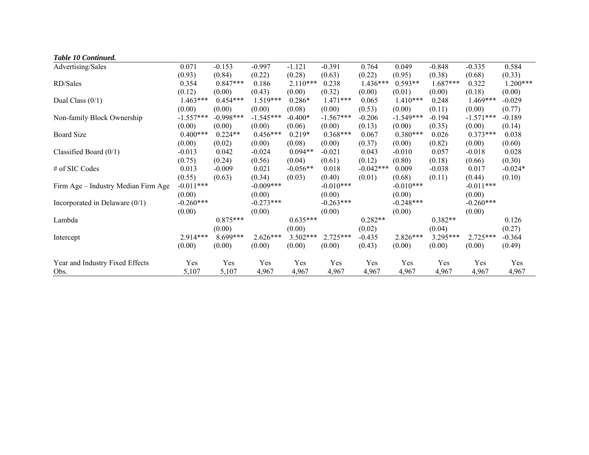| Table 10 Continued.                 |             |             |             |            |             |             |             |            |             |            |
|-------------------------------------|-------------|-------------|-------------|------------|-------------|-------------|-------------|------------|-------------|------------|
| Advertising/Sales                   | 0.071       | $-0.153$    | $-0.997$    | $-1.121$   | $-0.391$    | 0.764       | 0.049       | $-0.848$   | $-0.335$    | 0.584      |
|                                     | (0.93)      | (0.84)      | (0.22)      | (0.28)     | (0.63)      | (0.22)      | (0.95)      | (0.38)     | (0.68)      | (0.33)     |
| RD/Sales                            | 0.354       | $0.847***$  | 0.186       | $2.110***$ | 0.238       | $1.436***$  | $0.593**$   | $1.687***$ | 0.322       | $1.200***$ |
|                                     | (0.12)      | (0.00)      | (0.43)      | (0.00)     | (0.32)      | (0.00)      | (0.01)      | (0.00)     | (0.18)      | (0.00)     |
| Dual Class $(0/1)$                  | $1.463***$  | $0.454***$  | $1.519***$  | $0.286*$   | $1.471***$  | 0.065       | $1.410***$  | 0.248      | $1.469***$  | $-0.029$   |
|                                     | (0.00)      | (0.00)      | (0.00)      | (0.08)     | (0.00)      | (0.53)      | (0.00)      | (0.11)     | (0.00)      | (0.77)     |
| Non-family Block Ownership          | $-1.557***$ | $-0.998***$ | $-1.545***$ | $-0.400*$  | $-1.567***$ | $-0.206$    | $-1.549***$ | $-0.194$   | $-1.571***$ | $-0.189$   |
|                                     | (0.00)      | (0.00)      | (0.00)      | (0.06)     | (0.00)      | (0.13)      | (0.00)      | (0.35)     | (0.00)      | (0.14)     |
| <b>Board Size</b>                   | $0.400***$  | $0.224**$   | $0.456***$  | $0.219*$   | $0.368***$  | 0.067       | $0.380***$  | 0.026      | $0.373***$  | 0.038      |
|                                     | (0.00)      | (0.02)      | (0.00)      | (0.08)     | (0.00)      | (0.37)      | (0.00)      | (0.82)     | (0.00)      | (0.60)     |
| Classified Board $(0/1)$            | $-0.013$    | 0.042       | $-0.024$    | $0.094**$  | $-0.021$    | 0.043       | $-0.010$    | 0.057      | $-0.018$    | 0.028      |
|                                     | (0.75)      | (0.24)      | (0.56)      | (0.04)     | (0.61)      | (0.12)      | (0.80)      | (0.18)     | (0.66)      | (0.30)     |
| # of SIC Codes                      | 0.013       | $-0.009$    | 0.021       | $-0.056**$ | 0.018       | $-0.042***$ | 0.009       | $-0.038$   | 0.017       | $-0.024*$  |
|                                     | (0.55)      | (0.63)      | (0.34)      | (0.03)     | (0.40)      | (0.01)      | (0.68)      | (0.11)     | (0.44)      | (0.10)     |
| Firm Age – Industry Median Firm Age | $-0.011***$ |             | $-0.009***$ |            | $-0.010***$ |             | $-0.010***$ |            | $-0.011***$ |            |
|                                     | (0.00)      |             | (0.00)      |            | (0.00)      |             | (0.00)      |            | (0.00)      |            |
| Incorporated in Delaware $(0/1)$    | $-0.260***$ |             | $-0.273***$ |            | $-0.263***$ |             | $-0.248***$ |            | $-0.260***$ |            |
|                                     | (0.00)      |             | (0.00)      |            | (0.00)      |             | (0.00)      |            | (0.00)      |            |
| Lambda                              |             | $0.875***$  |             | $0.635***$ |             | $0.282**$   |             | $0.382**$  |             | 0.126      |
|                                     |             | (0.00)      |             | (0.00)     |             | (0.02)      |             | (0.04)     |             | (0.27)     |
| Intercept                           | 2.914***    | 8.699***    | $2.626***$  | $3.502***$ | $2.725***$  | $-0.435$    | $2.826***$  | 3.295***   | $2.725***$  | $-0.364$   |
|                                     | (0.00)      | (0.00)      | (0.00)      | (0.00)     | (0.00)      | (0.43)      | (0.00)      | (0.00)     | (0.00)      | (0.49)     |
| Year and Industry Fixed Effects     | Yes         | Yes         | Yes         | Yes        | Yes         | Yes         | Yes         | Yes        | Yes         | Yes        |
| Obs.                                | 5,107       | 5,107       | 4,967       | 4,967      | 4,967       | 4,967       | 4,967       | 4,967      | 4,967       | 4,967      |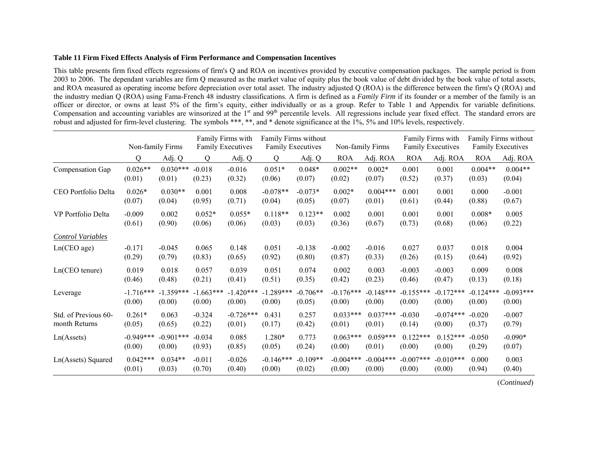#### **Table 11 Firm Fixed Effects Analysis of Firm Performance and Compensation Incentives**

This table presents firm fixed effects regressions of firm's Q and ROA on incentives provided by executive compensation packages. The sample period is from 2003 to 2006. The dependant variables are firm Q measured as the market value of equity plus the book value of debt divided by the book value of total assets, and ROA measured as operating income before depreciation over total asset. The industry adjusted Q (ROA) is the difference between the firm's Q (ROA) and the industry median Q (ROA) using Fama-French 48 industry classifications. A firm is defined as a *Family Firm* if its founder or a member of the family is an officer or director, or owns at least 5% of the firm's equity, either individually or as a group. Refer to Table 1 and Appendix for variable definitions. Compensation and accounting variables are winsorized at the 1<sup>st</sup> and 99<sup>th</sup> percentile levels. All regressions include year fixed effect. The standard errors are robust and adjusted for firm-level clustering. The symbols \*\*\*, \*\*, and \* denote significance at the 1%, 5% and 10% levels, respectively.

|                          | Non-family Firms |             | Family Firms with<br><b>Family Executives</b> |             | Family Firms without<br><b>Family Executives</b> |            | Non-family Firms |             | Family Firms with<br><b>Family Executives</b> |             | Family Firms without<br><b>Family Executives</b> |             |
|--------------------------|------------------|-------------|-----------------------------------------------|-------------|--------------------------------------------------|------------|------------------|-------------|-----------------------------------------------|-------------|--------------------------------------------------|-------------|
|                          | Q                | Adj. Q      | Q                                             | Adj. Q      | Q                                                | Adj. Q     | <b>ROA</b>       | Adj. ROA    | <b>ROA</b>                                    | Adj. ROA    | <b>ROA</b>                                       | Adj. ROA    |
| Compensation Gap         | $0.026**$        | $0.030***$  | $-0.018$                                      | $-0.016$    | $0.051*$                                         | $0.048*$   | $0.002**$        | $0.002*$    | 0.001                                         | 0.001       | $0.004**$                                        | $0.004**$   |
|                          | (0.01)           | (0.01)      | (0.23)                                        | (0.32)      | (0.06)                                           | (0.07)     | (0.02)           | (0.07)      | (0.52)                                        | (0.37)      | (0.03)                                           | (0.04)      |
| CEO Portfolio Delta      | $0.026*$         | $0.030**$   | 0.001                                         | 0.008       | $-0.078**$                                       | $-0.073*$  | $0.002*$         | $0.004***$  | 0.001                                         | 0.001       | 0.000                                            | $-0.001$    |
|                          | (0.07)           | (0.04)      | (0.95)                                        | (0.71)      | (0.04)                                           | (0.05)     | (0.07)           | (0.01)      | (0.61)                                        | (0.44)      | (0.88)                                           | (0.67)      |
| VP Portfolio Delta       | $-0.009$         | 0.002       | $0.052*$                                      | $0.055*$    | $0.118**$                                        | $0.123**$  | 0.002            | 0.001       | 0.001                                         | 0.001       | $0.008*$                                         | 0.005       |
|                          | (0.61)           | (0.90)      | (0.06)                                        | (0.06)      | (0.03)                                           | (0.03)     | (0.36)           | (0.67)      | (0.73)                                        | (0.68)      | (0.06)                                           | (0.22)      |
| <b>Control Variables</b> |                  |             |                                               |             |                                                  |            |                  |             |                                               |             |                                                  |             |
| Ln(CEO age)              | $-0.171$         | $-0.045$    | 0.065                                         | 0.148       | 0.051                                            | $-0.138$   | $-0.002$         | $-0.016$    | 0.027                                         | 0.037       | 0.018                                            | 0.004       |
|                          | (0.29)           | (0.79)      | (0.83)                                        | (0.65)      | (0.92)                                           | (0.80)     | (0.87)           | (0.33)      | (0.26)                                        | (0.15)      | (0.64)                                           | (0.92)      |
| Ln(CEO tenure)           | 0.019            | 0.018       | 0.057                                         | 0.039       | 0.051                                            | 0.074      | 0.002            | 0.003       | $-0.003$                                      | $-0.003$    | 0.009                                            | 0.008       |
|                          | (0.46)           | (0.48)      | (0.21)                                        | (0.41)      | (0.51)                                           | (0.35)     | (0.42)           | (0.23)      | (0.46)                                        | (0.47)      | (0.13)                                           | (0.18)      |
| Leverage                 | $-1.716***$      | $-1.359***$ | $-1.663***$                                   | $-1.420***$ | $-1.289***$                                      | $-0.706**$ | $-0.176***$      | $-0.148***$ | $-0.155***$                                   | $-0.172***$ | $-0.124***$                                      | $-0.093***$ |
|                          | (0.00)           | (0.00)      | (0.00)                                        | (0.00)      | (0.00)                                           | (0.05)     | (0.00)           | (0.00)      | (0.00)                                        | (0.00)      | (0.00)                                           | (0.00)      |
| Std. of Previous 60-     | $0.261*$         | 0.063       | $-0.324$                                      | $-0.726***$ | 0.431                                            | 0.257      | $0.033***$       | $0.037***$  | $-0.030$                                      | $-0.074***$ | $-0.020$                                         | $-0.007$    |
| month Returns            | (0.05)           | (0.65)      | (0.22)                                        | (0.01)      | (0.17)                                           | (0.42)     | (0.01)           | (0.01)      | (0.14)                                        | (0.00)      | (0.37)                                           | (0.79)      |
| Ln(A <sub>s</sub> )      | $-0.949***$      | $-0.901***$ | $-0.034$                                      | 0.085       | 1.280*                                           | 0.773      | $0.063***$       | $0.059***$  | $0.122***$                                    | $0.152***$  | $-0.050$                                         | $-0.090*$   |
|                          | (0.00)           | (0.00)      | (0.93)                                        | (0.85)      | (0.05)                                           | (0.24)     | (0.00)           | (0.01)      | (0.00)                                        | (0.00)      | (0.29)                                           | (0.07)      |
| Ln(Assets) Squared       | $0.042***$       | $0.034**$   | $-0.011$                                      | $-0.026$    | $-0.146***$                                      | $-0.109**$ | $-0.004***$      | $-0.004***$ | $-0.007$ ***                                  | $-0.010***$ | 0.000                                            | 0.003       |
|                          | (0.01)           | (0.03)      | (0.70)                                        | (0.40)      | (0.00)                                           | (0.02)     | (0.00)           | (0.00)      | (0.00)                                        | (0.00)      | (0.94)                                           | (0.40)      |

(*Continued*)